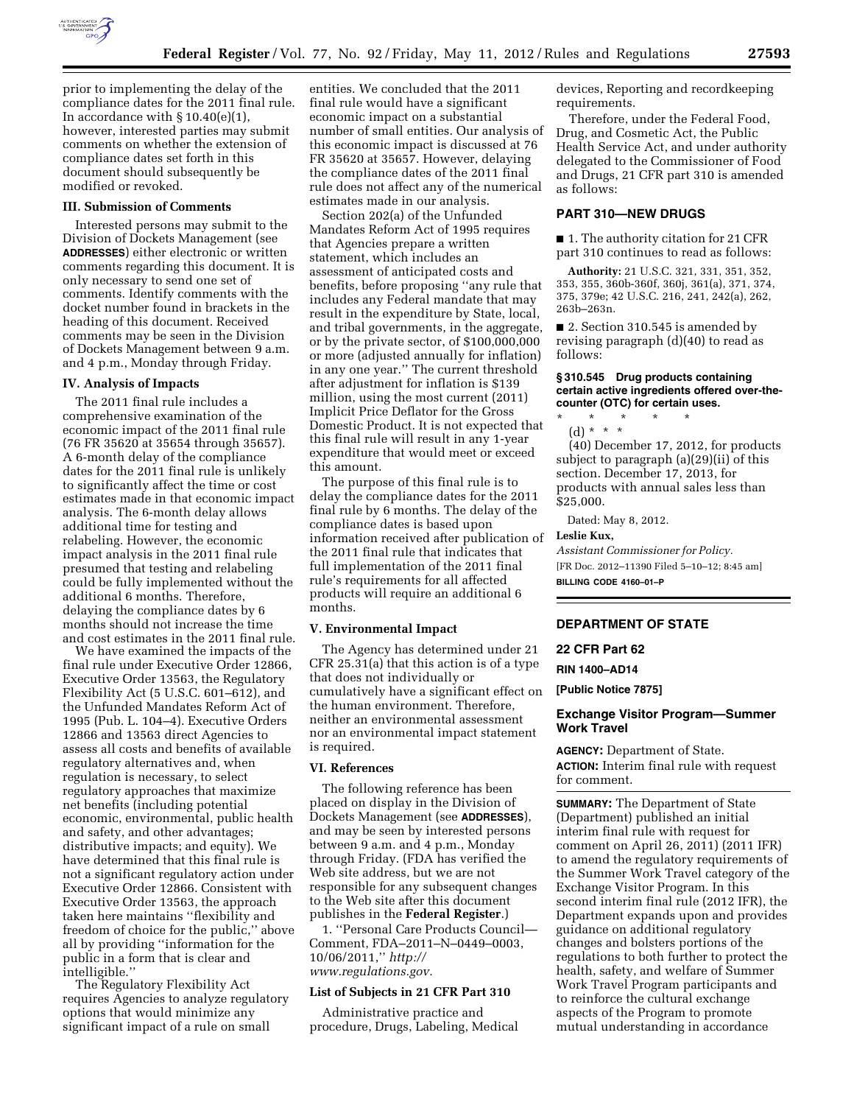

prior to implementing the delay of the compliance dates for the 2011 final rule. In accordance with  $\S 10.40(e)(1)$ , however, interested parties may submit comments on whether the extension of compliance dates set forth in this document should subsequently be modified or revoked.

# **III. Submission of Comments**

Interested persons may submit to the Division of Dockets Management (see **ADDRESSES**) either electronic or written comments regarding this document. It is only necessary to send one set of comments. Identify comments with the docket number found in brackets in the heading of this document. Received comments may be seen in the Division of Dockets Management between 9 a.m. and 4 p.m., Monday through Friday.

### **IV. Analysis of Impacts**

The 2011 final rule includes a comprehensive examination of the economic impact of the 2011 final rule (76 FR 35620 at 35654 through 35657). A 6-month delay of the compliance dates for the 2011 final rule is unlikely to significantly affect the time or cost estimates made in that economic impact analysis. The 6-month delay allows additional time for testing and relabeling. However, the economic impact analysis in the 2011 final rule presumed that testing and relabeling could be fully implemented without the additional 6 months. Therefore, delaying the compliance dates by 6 months should not increase the time and cost estimates in the 2011 final rule.

We have examined the impacts of the final rule under Executive Order 12866, Executive Order 13563, the Regulatory Flexibility Act (5 U.S.C. 601–612), and the Unfunded Mandates Reform Act of 1995 (Pub. L. 104–4). Executive Orders 12866 and 13563 direct Agencies to assess all costs and benefits of available regulatory alternatives and, when regulation is necessary, to select regulatory approaches that maximize net benefits (including potential economic, environmental, public health and safety, and other advantages; distributive impacts; and equity). We have determined that this final rule is not a significant regulatory action under Executive Order 12866. Consistent with Executive Order 13563, the approach taken here maintains ''flexibility and freedom of choice for the public,'' above all by providing ''information for the public in a form that is clear and intelligible.''

The Regulatory Flexibility Act requires Agencies to analyze regulatory options that would minimize any significant impact of a rule on small

entities. We concluded that the 2011 final rule would have a significant economic impact on a substantial number of small entities. Our analysis of this economic impact is discussed at 76 FR 35620 at 35657. However, delaying the compliance dates of the 2011 final rule does not affect any of the numerical estimates made in our analysis.

Section 202(a) of the Unfunded Mandates Reform Act of 1995 requires that Agencies prepare a written statement, which includes an assessment of anticipated costs and benefits, before proposing ''any rule that includes any Federal mandate that may result in the expenditure by State, local, and tribal governments, in the aggregate, or by the private sector, of \$100,000,000 or more (adjusted annually for inflation) in any one year.'' The current threshold after adjustment for inflation is \$139 million, using the most current (2011) Implicit Price Deflator for the Gross Domestic Product. It is not expected that this final rule will result in any 1-year expenditure that would meet or exceed this amount.

The purpose of this final rule is to delay the compliance dates for the 2011 final rule by 6 months. The delay of the compliance dates is based upon information received after publication of the 2011 final rule that indicates that full implementation of the 2011 final rule's requirements for all affected products will require an additional 6 months.

### **V. Environmental Impact**

The Agency has determined under 21 CFR 25.31(a) that this action is of a type that does not individually or cumulatively have a significant effect on the human environment. Therefore, neither an environmental assessment nor an environmental impact statement is required.

#### **VI. References**

The following reference has been placed on display in the Division of Dockets Management (see **ADDRESSES**), and may be seen by interested persons between 9 a.m. and 4 p.m., Monday through Friday. (FDA has verified the Web site address, but we are not responsible for any subsequent changes to the Web site after this document publishes in the **Federal Register**.)

1. ''Personal Care Products Council— Comment, FDA–2011–N–0449–0003, 10/06/2011,'' *[http://](http://www.regulations.gov) [www.regulations.gov.](http://www.regulations.gov)* 

# **List of Subjects in 21 CFR Part 310**

Administrative practice and procedure, Drugs, Labeling, Medical devices, Reporting and recordkeeping requirements.

Therefore, under the Federal Food, Drug, and Cosmetic Act, the Public Health Service Act, and under authority delegated to the Commissioner of Food and Drugs, 21 CFR part 310 is amended as follows:

# **PART 310—NEW DRUGS**

■ 1. The authority citation for 21 CFR part 310 continues to read as follows:

**Authority:** 21 U.S.C. 321, 331, 351, 352, 353, 355, 360b-360f, 360j, 361(a), 371, 374, 375, 379e; 42 U.S.C. 216, 241, 242(a), 262, 263b–263n.

■ 2. Section 310.545 is amended by revising paragraph (d)(40) to read as follows:

# **§ 310.545 Drug products containing certain active ingredients offered over-thecounter (OTC) for certain uses.**

\* \* \* \* \* (d) \* \* \*

(40) December 17, 2012, for products subject to paragraph (a)(29)(ii) of this section. December 17, 2013, for products with annual sales less than \$25,000.

Dated: May 8, 2012.

### **Leslie Kux,**

*Assistant Commissioner for Policy.*  [FR Doc. 2012–11390 Filed 5–10–12; 8:45 am] **BILLING CODE 4160–01–P** 

### **DEPARTMENT OF STATE**

**22 CFR Part 62** 

**RIN 1400–AD14** 

**[Public Notice 7875]** 

### **Exchange Visitor Program—Summer Work Travel**

**AGENCY:** Department of State. **ACTION:** Interim final rule with request for comment.

**SUMMARY:** The Department of State (Department) published an initial interim final rule with request for comment on April 26, 2011) (2011 IFR) to amend the regulatory requirements of the Summer Work Travel category of the Exchange Visitor Program. In this second interim final rule (2012 IFR), the Department expands upon and provides guidance on additional regulatory changes and bolsters portions of the regulations to both further to protect the health, safety, and welfare of Summer Work Travel Program participants and to reinforce the cultural exchange aspects of the Program to promote mutual understanding in accordance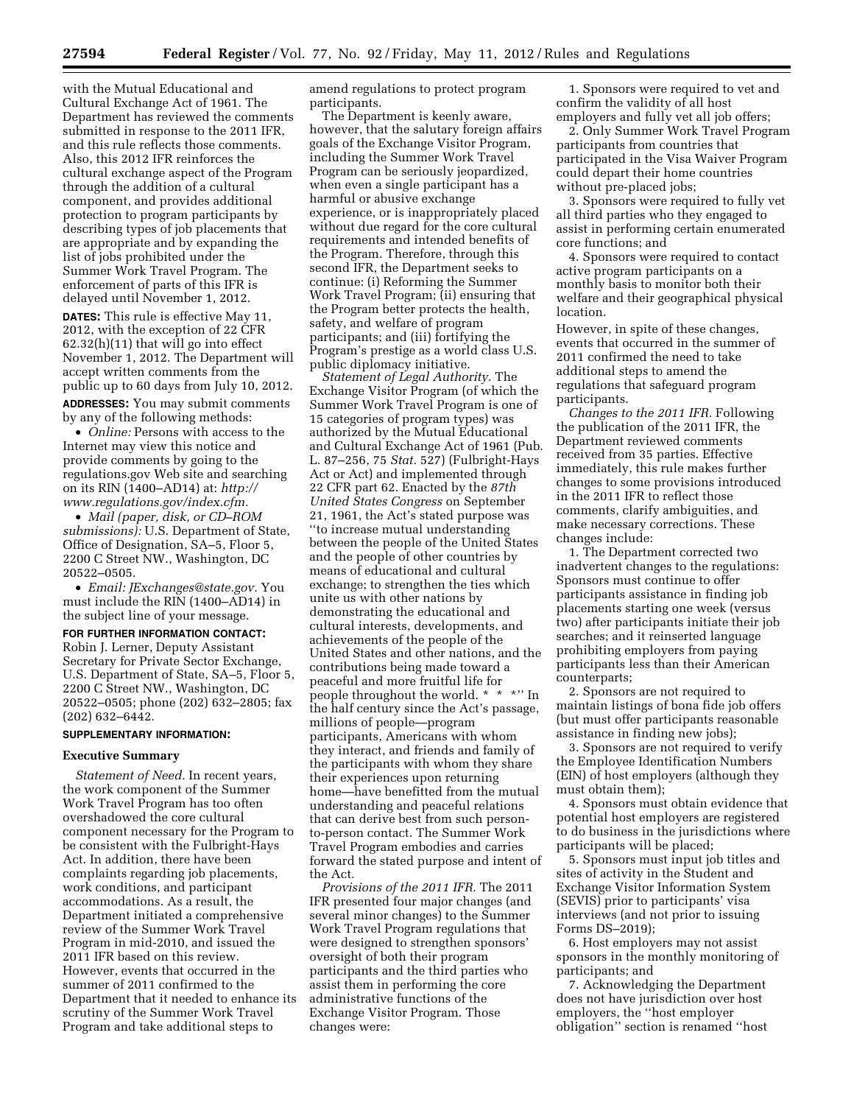with the Mutual Educational and Cultural Exchange Act of 1961. The Department has reviewed the comments submitted in response to the 2011 IFR, and this rule reflects those comments. Also, this 2012 IFR reinforces the cultural exchange aspect of the Program through the addition of a cultural component, and provides additional protection to program participants by describing types of job placements that are appropriate and by expanding the list of jobs prohibited under the Summer Work Travel Program. The enforcement of parts of this IFR is delayed until November 1, 2012.

**DATES:** This rule is effective May 11, 2012, with the exception of 22 CFR 62.32(h)(11) that will go into effect November 1, 2012. The Department will accept written comments from the public up to 60 days from July 10, 2012.

**ADDRESSES:** You may submit comments by any of the following methods:

• *Online:* Persons with access to the Internet may view this notice and provide comments by going to the regulations.gov Web site and searching on its RIN (1400–AD14) at: *[http://](http://www.regulations.gov/index.cfm)  [www.regulations.gov/index.cfm.](http://www.regulations.gov/index.cfm)* 

• *Mail (paper, disk, or CD–ROM submissions):* U.S. Department of State, Office of Designation, SA–5, Floor 5, 2200 C Street NW., Washington, DC 20522–0505.

• *Email: [JExchanges@state.gov.](mailto:JExchanges@state.gov)* You must include the RIN (1400–AD14) in the subject line of your message.

**FOR FURTHER INFORMATION CONTACT:**  Robin J. Lerner, Deputy Assistant Secretary for Private Sector Exchange, U.S. Department of State, SA–5, Floor 5, 2200 C Street NW., Washington, DC 20522–0505; phone (202) 632–2805; fax (202) 632–6442.

#### **SUPPLEMENTARY INFORMATION:**

#### **Executive Summary**

*Statement of Need.* In recent years, the work component of the Summer Work Travel Program has too often overshadowed the core cultural component necessary for the Program to be consistent with the Fulbright-Hays Act. In addition, there have been complaints regarding job placements, work conditions, and participant accommodations. As a result, the Department initiated a comprehensive review of the Summer Work Travel Program in mid-2010, and issued the 2011 IFR based on this review. However, events that occurred in the summer of 2011 confirmed to the Department that it needed to enhance its scrutiny of the Summer Work Travel Program and take additional steps to

amend regulations to protect program participants.

The Department is keenly aware, however, that the salutary foreign affairs goals of the Exchange Visitor Program, including the Summer Work Travel Program can be seriously jeopardized, when even a single participant has a harmful or abusive exchange experience, or is inappropriately placed without due regard for the core cultural requirements and intended benefits of the Program. Therefore, through this second IFR, the Department seeks to continue: (i) Reforming the Summer Work Travel Program; (ii) ensuring that the Program better protects the health, safety, and welfare of program participants; and (iii) fortifying the Program's prestige as a world class U.S. public diplomacy initiative.

*Statement of Legal Authority.* The Exchange Visitor Program (of which the Summer Work Travel Program is one of 15 categories of program types) was authorized by the Mutual Educational and Cultural Exchange Act of 1961 (Pub. L. 87–256, 75 *Stat.* 527) (Fulbright-Hays Act or Act) and implemented through 22 CFR part 62. Enacted by the *87th United States Congress* on September 21, 1961, the Act's stated purpose was ''to increase mutual understanding between the people of the United States and the people of other countries by means of educational and cultural exchange; to strengthen the ties which unite us with other nations by demonstrating the educational and cultural interests, developments, and achievements of the people of the United States and other nations, and the contributions being made toward a peaceful and more fruitful life for people throughout the world. \* \* \*'' In the half century since the Act's passage, millions of people—program participants, Americans with whom they interact, and friends and family of the participants with whom they share their experiences upon returning home—have benefitted from the mutual understanding and peaceful relations that can derive best from such personto-person contact. The Summer Work Travel Program embodies and carries forward the stated purpose and intent of the Act.

*Provisions of the 2011 IFR.* The 2011 IFR presented four major changes (and several minor changes) to the Summer Work Travel Program regulations that were designed to strengthen sponsors' oversight of both their program participants and the third parties who assist them in performing the core administrative functions of the Exchange Visitor Program. Those changes were:

1. Sponsors were required to vet and confirm the validity of all host employers and fully vet all job offers;

2. Only Summer Work Travel Program participants from countries that participated in the Visa Waiver Program could depart their home countries without pre-placed jobs;

3. Sponsors were required to fully vet all third parties who they engaged to assist in performing certain enumerated core functions; and

4. Sponsors were required to contact active program participants on a monthly basis to monitor both their welfare and their geographical physical location.

However, in spite of these changes, events that occurred in the summer of 2011 confirmed the need to take additional steps to amend the regulations that safeguard program participants.

*Changes to the 2011 IFR.* Following the publication of the 2011 IFR, the Department reviewed comments received from 35 parties. Effective immediately, this rule makes further changes to some provisions introduced in the 2011 IFR to reflect those comments, clarify ambiguities, and make necessary corrections. These changes include:

1. The Department corrected two inadvertent changes to the regulations: Sponsors must continue to offer participants assistance in finding job placements starting one week (versus two) after participants initiate their job searches; and it reinserted language prohibiting employers from paying participants less than their American counterparts;

2. Sponsors are not required to maintain listings of bona fide job offers (but must offer participants reasonable assistance in finding new jobs);

3. Sponsors are not required to verify the Employee Identification Numbers (EIN) of host employers (although they must obtain them);

4. Sponsors must obtain evidence that potential host employers are registered to do business in the jurisdictions where participants will be placed;

5. Sponsors must input job titles and sites of activity in the Student and Exchange Visitor Information System (SEVIS) prior to participants' visa interviews (and not prior to issuing Forms DS–2019);

6. Host employers may not assist sponsors in the monthly monitoring of participants; and

7. Acknowledging the Department does not have jurisdiction over host employers, the ''host employer obligation'' section is renamed ''host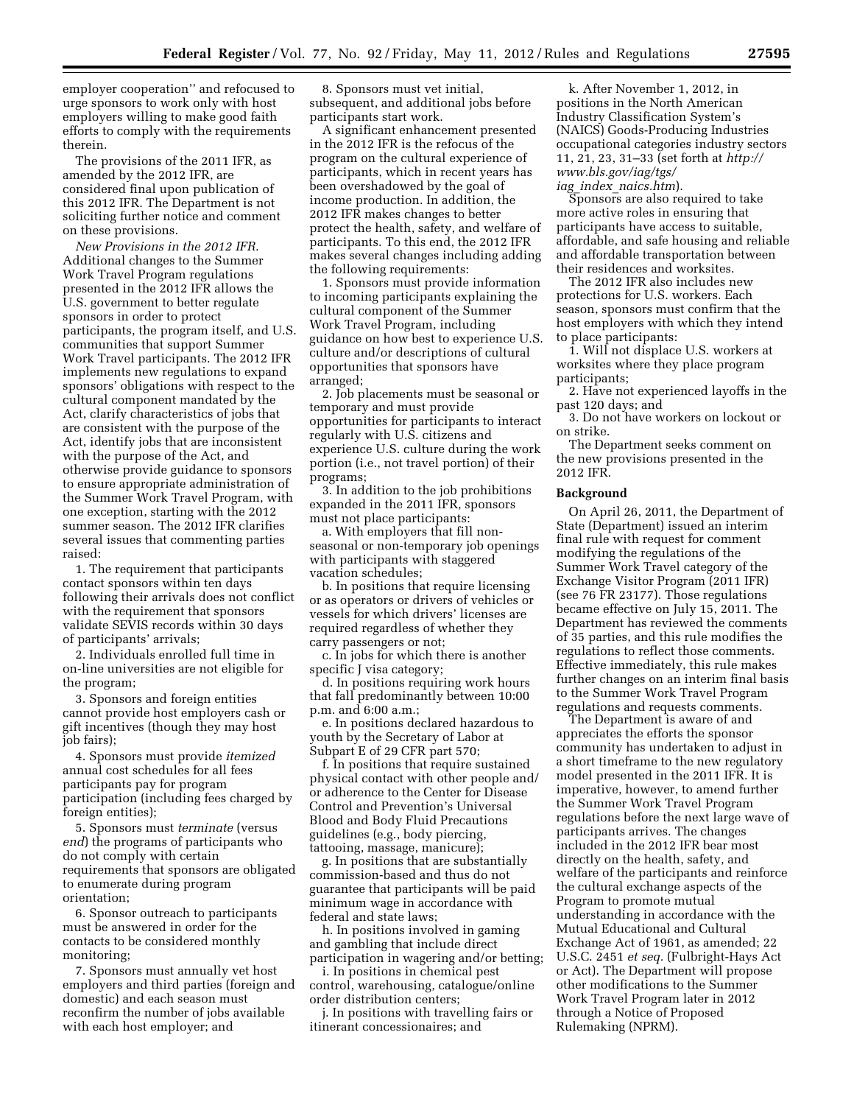employer cooperation'' and refocused to urge sponsors to work only with host employers willing to make good faith efforts to comply with the requirements therein.

The provisions of the 2011 IFR, as amended by the 2012 IFR, are considered final upon publication of this 2012 IFR. The Department is not soliciting further notice and comment on these provisions.

*New Provisions in the 2012 IFR.*  Additional changes to the Summer Work Travel Program regulations presented in the 2012 IFR allows the U.S. government to better regulate sponsors in order to protect participants, the program itself, and U.S. communities that support Summer Work Travel participants. The 2012 IFR implements new regulations to expand sponsors' obligations with respect to the cultural component mandated by the Act, clarify characteristics of jobs that are consistent with the purpose of the Act, identify jobs that are inconsistent with the purpose of the Act, and otherwise provide guidance to sponsors to ensure appropriate administration of the Summer Work Travel Program, with one exception, starting with the 2012 summer season. The 2012 IFR clarifies several issues that commenting parties raised:

1. The requirement that participants contact sponsors within ten days following their arrivals does not conflict with the requirement that sponsors validate SEVIS records within 30 days of participants' arrivals;

2. Individuals enrolled full time in on-line universities are not eligible for the program;

3. Sponsors and foreign entities cannot provide host employers cash or gift incentives (though they may host job fairs);

4. Sponsors must provide *itemized*  annual cost schedules for all fees participants pay for program participation (including fees charged by foreign entities);

5. Sponsors must *terminate* (versus *end*) the programs of participants who do not comply with certain requirements that sponsors are obligated to enumerate during program orientation;

6. Sponsor outreach to participants must be answered in order for the contacts to be considered monthly monitoring;

7. Sponsors must annually vet host employers and third parties (foreign and domestic) and each season must reconfirm the number of jobs available with each host employer; and

8. Sponsors must vet initial, subsequent, and additional jobs before participants start work.

A significant enhancement presented in the 2012 IFR is the refocus of the program on the cultural experience of participants, which in recent years has been overshadowed by the goal of income production. In addition, the 2012 IFR makes changes to better protect the health, safety, and welfare of participants. To this end, the 2012 IFR makes several changes including adding the following requirements:

1. Sponsors must provide information to incoming participants explaining the cultural component of the Summer Work Travel Program, including guidance on how best to experience U.S. culture and/or descriptions of cultural opportunities that sponsors have arranged;

2. Job placements must be seasonal or temporary and must provide opportunities for participants to interact regularly with U.S. citizens and experience U.S. culture during the work portion (i.e., not travel portion) of their programs;

3. In addition to the job prohibitions expanded in the 2011 IFR, sponsors must not place participants:

a. With employers that fill nonseasonal or non-temporary job openings with participants with staggered vacation schedules;

b. In positions that require licensing or as operators or drivers of vehicles or vessels for which drivers' licenses are required regardless of whether they carry passengers or not;

c. In jobs for which there is another specific J visa category;

d. In positions requiring work hours that fall predominantly between 10:00 p.m. and 6:00 a.m.;

e. In positions declared hazardous to youth by the Secretary of Labor at Subpart E of 29 CFR part 570;

f. In positions that require sustained physical contact with other people and/ or adherence to the Center for Disease Control and Prevention's Universal Blood and Body Fluid Precautions guidelines (e.g., body piercing, tattooing, massage, manicure);

g. In positions that are substantially commission-based and thus do not guarantee that participants will be paid minimum wage in accordance with federal and state laws;

h. In positions involved in gaming and gambling that include direct participation in wagering and/or betting;

i. In positions in chemical pest control, warehousing, catalogue/online order distribution centers;

j. In positions with travelling fairs or itinerant concessionaires; and

k. After November 1, 2012, in positions in the North American Industry Classification System's (NAICS) Goods-Producing Industries occupational categories industry sectors 11, 21, 23, 31–33 (set forth at *[http://](http://www.bls.gov/iag/tgs/iag_index_naics.htm) [www.bls.gov/iag/tgs/](http://www.bls.gov/iag/tgs/iag_index_naics.htm)  iag*\_*index*\_*[naics.htm](http://www.bls.gov/iag/tgs/iag_index_naics.htm)*).

Sponsors are also required to take more active roles in ensuring that participants have access to suitable, affordable, and safe housing and reliable and affordable transportation between their residences and worksites.

The 2012 IFR also includes new protections for U.S. workers. Each season, sponsors must confirm that the host employers with which they intend to place participants:

1. Will not displace U.S. workers at worksites where they place program participants;

2. Have not experienced layoffs in the past 120 days; and

3. Do not have workers on lockout or on strike.

The Department seeks comment on the new provisions presented in the 2012 IFR.

### **Background**

On April 26, 2011, the Department of State (Department) issued an interim final rule with request for comment modifying the regulations of the Summer Work Travel category of the Exchange Visitor Program (2011 IFR) (see 76 FR 23177). Those regulations became effective on July 15, 2011. The Department has reviewed the comments of 35 parties, and this rule modifies the regulations to reflect those comments. Effective immediately, this rule makes further changes on an interim final basis to the Summer Work Travel Program regulations and requests comments.

The Department is aware of and appreciates the efforts the sponsor community has undertaken to adjust in a short timeframe to the new regulatory model presented in the 2011 IFR. It is imperative, however, to amend further the Summer Work Travel Program regulations before the next large wave of participants arrives. The changes included in the 2012 IFR bear most directly on the health, safety, and welfare of the participants and reinforce the cultural exchange aspects of the Program to promote mutual understanding in accordance with the Mutual Educational and Cultural Exchange Act of 1961, as amended; 22 U.S.C. 2451 *et seq.* (Fulbright-Hays Act or Act). The Department will propose other modifications to the Summer Work Travel Program later in 2012 through a Notice of Proposed Rulemaking (NPRM).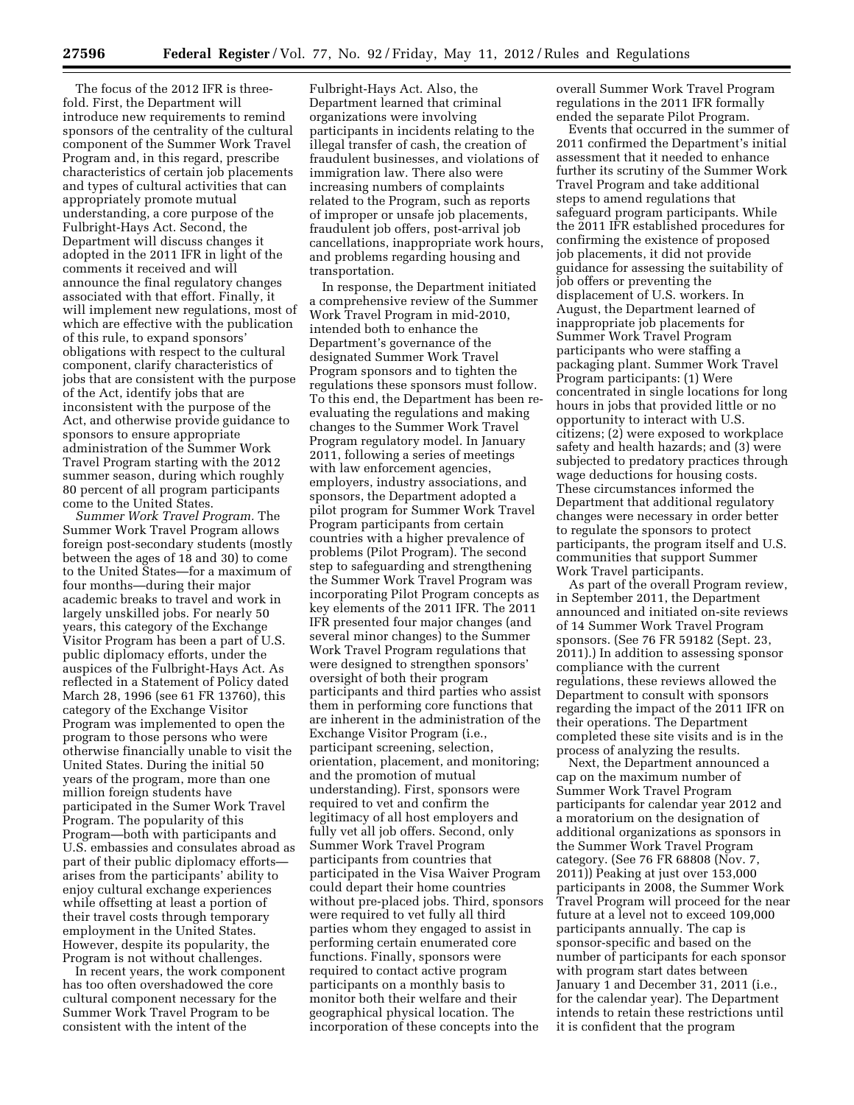The focus of the 2012 IFR is threefold. First, the Department will introduce new requirements to remind sponsors of the centrality of the cultural component of the Summer Work Travel Program and, in this regard, prescribe characteristics of certain job placements and types of cultural activities that can appropriately promote mutual understanding, a core purpose of the Fulbright-Hays Act. Second, the Department will discuss changes it adopted in the 2011 IFR in light of the comments it received and will announce the final regulatory changes associated with that effort. Finally, it will implement new regulations, most of which are effective with the publication of this rule, to expand sponsors' obligations with respect to the cultural component, clarify characteristics of jobs that are consistent with the purpose of the Act, identify jobs that are inconsistent with the purpose of the Act, and otherwise provide guidance to sponsors to ensure appropriate administration of the Summer Work Travel Program starting with the 2012 summer season, during which roughly 80 percent of all program participants come to the United States.

*Summer Work Travel Program.* The Summer Work Travel Program allows foreign post-secondary students (mostly between the ages of 18 and 30) to come to the United States—for a maximum of four months—during their major academic breaks to travel and work in largely unskilled jobs. For nearly 50 years, this category of the Exchange Visitor Program has been a part of U.S. public diplomacy efforts, under the auspices of the Fulbright-Hays Act. As reflected in a Statement of Policy dated March 28, 1996 (see 61 FR 13760), this category of the Exchange Visitor Program was implemented to open the program to those persons who were otherwise financially unable to visit the United States. During the initial 50 years of the program, more than one million foreign students have participated in the Sumer Work Travel Program. The popularity of this Program—both with participants and U.S. embassies and consulates abroad as part of their public diplomacy efforts arises from the participants' ability to enjoy cultural exchange experiences while offsetting at least a portion of their travel costs through temporary employment in the United States. However, despite its popularity, the Program is not without challenges.

In recent years, the work component has too often overshadowed the core cultural component necessary for the Summer Work Travel Program to be consistent with the intent of the

Fulbright-Hays Act. Also, the Department learned that criminal organizations were involving participants in incidents relating to the illegal transfer of cash, the creation of fraudulent businesses, and violations of immigration law. There also were increasing numbers of complaints related to the Program, such as reports of improper or unsafe job placements, fraudulent job offers, post-arrival job cancellations, inappropriate work hours, and problems regarding housing and transportation.

In response, the Department initiated a comprehensive review of the Summer Work Travel Program in mid-2010, intended both to enhance the Department's governance of the designated Summer Work Travel Program sponsors and to tighten the regulations these sponsors must follow. To this end, the Department has been reevaluating the regulations and making changes to the Summer Work Travel Program regulatory model. In January 2011, following a series of meetings with law enforcement agencies, employers, industry associations, and sponsors, the Department adopted a pilot program for Summer Work Travel Program participants from certain countries with a higher prevalence of problems (Pilot Program). The second step to safeguarding and strengthening the Summer Work Travel Program was incorporating Pilot Program concepts as key elements of the 2011 IFR. The 2011 IFR presented four major changes (and several minor changes) to the Summer Work Travel Program regulations that were designed to strengthen sponsors' oversight of both their program participants and third parties who assist them in performing core functions that are inherent in the administration of the Exchange Visitor Program (i.e., participant screening, selection, orientation, placement, and monitoring; and the promotion of mutual understanding). First, sponsors were required to vet and confirm the legitimacy of all host employers and fully vet all job offers. Second, only Summer Work Travel Program participants from countries that participated in the Visa Waiver Program could depart their home countries without pre-placed jobs. Third, sponsors were required to vet fully all third parties whom they engaged to assist in performing certain enumerated core functions. Finally, sponsors were required to contact active program participants on a monthly basis to monitor both their welfare and their geographical physical location. The incorporation of these concepts into the

overall Summer Work Travel Program regulations in the 2011 IFR formally ended the separate Pilot Program.

Events that occurred in the summer of 2011 confirmed the Department's initial assessment that it needed to enhance further its scrutiny of the Summer Work Travel Program and take additional steps to amend regulations that safeguard program participants. While the 2011 IFR established procedures for confirming the existence of proposed job placements, it did not provide guidance for assessing the suitability of job offers or preventing the displacement of U.S. workers. In August, the Department learned of inappropriate job placements for Summer Work Travel Program participants who were staffing a packaging plant. Summer Work Travel Program participants: (1) Were concentrated in single locations for long hours in jobs that provided little or no opportunity to interact with U.S. citizens; (2) were exposed to workplace safety and health hazards; and (3) were subjected to predatory practices through wage deductions for housing costs. These circumstances informed the Department that additional regulatory changes were necessary in order better to regulate the sponsors to protect participants, the program itself and U.S. communities that support Summer Work Travel participants.

As part of the overall Program review, in September 2011, the Department announced and initiated on-site reviews of 14 Summer Work Travel Program sponsors. (See 76 FR 59182 (Sept. 23, 2011).) In addition to assessing sponsor compliance with the current regulations, these reviews allowed the Department to consult with sponsors regarding the impact of the 2011 IFR on their operations. The Department completed these site visits and is in the process of analyzing the results.

Next, the Department announced a cap on the maximum number of Summer Work Travel Program participants for calendar year 2012 and a moratorium on the designation of additional organizations as sponsors in the Summer Work Travel Program category. (See 76 FR 68808 (Nov. 7, 2011)) Peaking at just over 153,000 participants in 2008, the Summer Work Travel Program will proceed for the near future at a level not to exceed 109,000 participants annually. The cap is sponsor-specific and based on the number of participants for each sponsor with program start dates between January 1 and December 31, 2011 (i.e., for the calendar year). The Department intends to retain these restrictions until it is confident that the program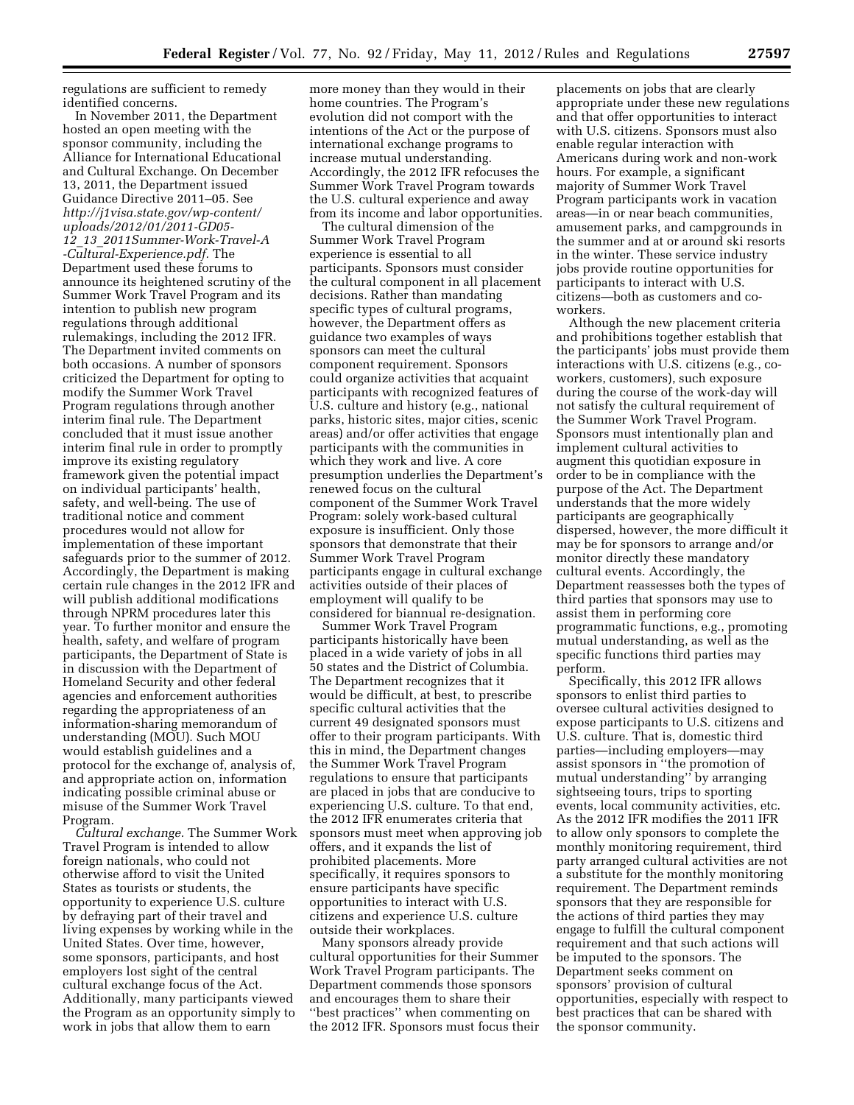regulations are sufficient to remedy identified concerns.

In November 2011, the Department hosted an open meeting with the sponsor community, including the Alliance for International Educational and Cultural Exchange. On December 13, 2011, the Department issued Guidance Directive 2011–05. See *[http://j1visa.state.gov/wp-content/](http://j1visa.state.gov/wp-content/uploads/2012/01/2011-GD05-12_13_2011Summer-Work-Travel-A-Cultural-Experience.pdf)  [uploads/2012/01/2011-GD05-](http://j1visa.state.gov/wp-content/uploads/2012/01/2011-GD05-12_13_2011Summer-Work-Travel-A-Cultural-Experience.pdf)  12*\_*13*\_*[2011Summer-Work-Travel-A](http://j1visa.state.gov/wp-content/uploads/2012/01/2011-GD05-12_13_2011Summer-Work-Travel-A-Cultural-Experience.pdf) [-Cultural-Experience.pdf.](http://j1visa.state.gov/wp-content/uploads/2012/01/2011-GD05-12_13_2011Summer-Work-Travel-A-Cultural-Experience.pdf)* The Department used these forums to announce its heightened scrutiny of the Summer Work Travel Program and its intention to publish new program regulations through additional rulemakings, including the 2012 IFR. The Department invited comments on both occasions. A number of sponsors criticized the Department for opting to modify the Summer Work Travel Program regulations through another interim final rule. The Department concluded that it must issue another interim final rule in order to promptly improve its existing regulatory framework given the potential impact on individual participants' health, safety, and well-being. The use of traditional notice and comment procedures would not allow for implementation of these important safeguards prior to the summer of 2012. Accordingly, the Department is making certain rule changes in the 2012 IFR and will publish additional modifications through NPRM procedures later this year. To further monitor and ensure the health, safety, and welfare of program participants, the Department of State is in discussion with the Department of Homeland Security and other federal agencies and enforcement authorities regarding the appropriateness of an information-sharing memorandum of understanding (MOU). Such MOU would establish guidelines and a protocol for the exchange of, analysis of, and appropriate action on, information indicating possible criminal abuse or misuse of the Summer Work Travel Program.

*Cultural exchange.* The Summer Work Travel Program is intended to allow foreign nationals, who could not otherwise afford to visit the United States as tourists or students, the opportunity to experience U.S. culture by defraying part of their travel and living expenses by working while in the United States. Over time, however, some sponsors, participants, and host employers lost sight of the central cultural exchange focus of the Act. Additionally, many participants viewed the Program as an opportunity simply to work in jobs that allow them to earn

more money than they would in their home countries. The Program's evolution did not comport with the intentions of the Act or the purpose of international exchange programs to increase mutual understanding. Accordingly, the 2012 IFR refocuses the Summer Work Travel Program towards the U.S. cultural experience and away from its income and labor opportunities.

The cultural dimension of the Summer Work Travel Program experience is essential to all participants. Sponsors must consider the cultural component in all placement decisions. Rather than mandating specific types of cultural programs, however, the Department offers as guidance two examples of ways sponsors can meet the cultural component requirement. Sponsors could organize activities that acquaint participants with recognized features of U.S. culture and history (e.g., national parks, historic sites, major cities, scenic areas) and/or offer activities that engage participants with the communities in which they work and live. A core presumption underlies the Department's renewed focus on the cultural component of the Summer Work Travel Program: solely work-based cultural exposure is insufficient. Only those sponsors that demonstrate that their Summer Work Travel Program participants engage in cultural exchange activities outside of their places of employment will qualify to be considered for biannual re-designation.

Summer Work Travel Program participants historically have been placed in a wide variety of jobs in all 50 states and the District of Columbia. The Department recognizes that it would be difficult, at best, to prescribe specific cultural activities that the current 49 designated sponsors must offer to their program participants. With this in mind, the Department changes the Summer Work Travel Program regulations to ensure that participants are placed in jobs that are conducive to experiencing U.S. culture. To that end, the 2012 IFR enumerates criteria that sponsors must meet when approving job offers, and it expands the list of prohibited placements. More specifically, it requires sponsors to ensure participants have specific opportunities to interact with U.S. citizens and experience U.S. culture outside their workplaces.

Many sponsors already provide cultural opportunities for their Summer Work Travel Program participants. The Department commends those sponsors and encourages them to share their ''best practices'' when commenting on the 2012 IFR. Sponsors must focus their

placements on jobs that are clearly appropriate under these new regulations and that offer opportunities to interact with U.S. citizens. Sponsors must also enable regular interaction with Americans during work and non-work hours. For example, a significant majority of Summer Work Travel Program participants work in vacation areas—in or near beach communities, amusement parks, and campgrounds in the summer and at or around ski resorts in the winter. These service industry jobs provide routine opportunities for participants to interact with U.S. citizens—both as customers and coworkers.

Although the new placement criteria and prohibitions together establish that the participants' jobs must provide them interactions with U.S. citizens (e.g., coworkers, customers), such exposure during the course of the work-day will not satisfy the cultural requirement of the Summer Work Travel Program. Sponsors must intentionally plan and implement cultural activities to augment this quotidian exposure in order to be in compliance with the purpose of the Act. The Department understands that the more widely participants are geographically dispersed, however, the more difficult it may be for sponsors to arrange and/or monitor directly these mandatory cultural events. Accordingly, the Department reassesses both the types of third parties that sponsors may use to assist them in performing core programmatic functions, e.g., promoting mutual understanding, as well as the specific functions third parties may perform.

Specifically, this 2012 IFR allows sponsors to enlist third parties to oversee cultural activities designed to expose participants to U.S. citizens and U.S. culture. That is, domestic third parties—including employers—may assist sponsors in ''the promotion of mutual understanding'' by arranging sightseeing tours, trips to sporting events, local community activities, etc. As the 2012 IFR modifies the 2011 IFR to allow only sponsors to complete the monthly monitoring requirement, third party arranged cultural activities are not a substitute for the monthly monitoring requirement. The Department reminds sponsors that they are responsible for the actions of third parties they may engage to fulfill the cultural component requirement and that such actions will be imputed to the sponsors. The Department seeks comment on sponsors' provision of cultural opportunities, especially with respect to best practices that can be shared with the sponsor community.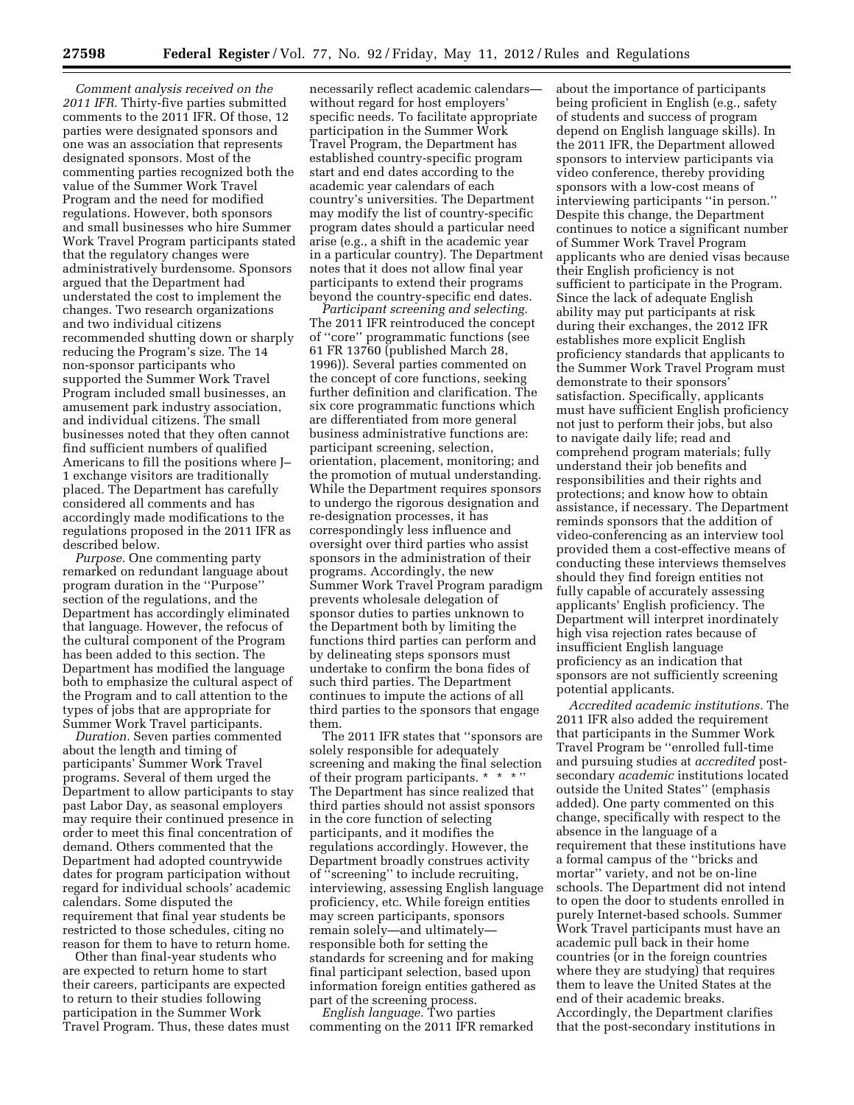*Comment analysis received on the 2011 IFR.* Thirty-five parties submitted comments to the 2011 IFR. Of those, 12 parties were designated sponsors and one was an association that represents designated sponsors. Most of the commenting parties recognized both the value of the Summer Work Travel Program and the need for modified regulations. However, both sponsors and small businesses who hire Summer Work Travel Program participants stated that the regulatory changes were administratively burdensome. Sponsors argued that the Department had understated the cost to implement the changes. Two research organizations and two individual citizens recommended shutting down or sharply reducing the Program's size. The 14 non-sponsor participants who supported the Summer Work Travel Program included small businesses, an amusement park industry association, and individual citizens. The small businesses noted that they often cannot find sufficient numbers of qualified Americans to fill the positions where J– 1 exchange visitors are traditionally placed. The Department has carefully considered all comments and has accordingly made modifications to the regulations proposed in the 2011 IFR as described below.

*Purpose.* One commenting party remarked on redundant language about program duration in the ''Purpose'' section of the regulations, and the Department has accordingly eliminated that language. However, the refocus of the cultural component of the Program has been added to this section. The Department has modified the language both to emphasize the cultural aspect of the Program and to call attention to the types of jobs that are appropriate for Summer Work Travel participants.

*Duration.* Seven parties commented about the length and timing of participants' Summer Work Travel programs. Several of them urged the Department to allow participants to stay past Labor Day, as seasonal employers may require their continued presence in order to meet this final concentration of demand. Others commented that the Department had adopted countrywide dates for program participation without regard for individual schools' academic calendars. Some disputed the requirement that final year students be restricted to those schedules, citing no reason for them to have to return home.

Other than final-year students who are expected to return home to start their careers, participants are expected to return to their studies following participation in the Summer Work Travel Program. Thus, these dates must

necessarily reflect academic calendars without regard for host employers' specific needs. To facilitate appropriate participation in the Summer Work Travel Program, the Department has established country-specific program start and end dates according to the academic year calendars of each country's universities. The Department may modify the list of country-specific program dates should a particular need arise (e.g., a shift in the academic year in a particular country). The Department notes that it does not allow final year participants to extend their programs beyond the country-specific end dates.

*Participant screening and selecting.*  The 2011 IFR reintroduced the concept of ''core'' programmatic functions (see 61 FR 13760 (published March 28, 1996)). Several parties commented on the concept of core functions, seeking further definition and clarification. The six core programmatic functions which are differentiated from more general business administrative functions are: participant screening, selection, orientation, placement, monitoring; and the promotion of mutual understanding. While the Department requires sponsors to undergo the rigorous designation and re-designation processes, it has correspondingly less influence and oversight over third parties who assist sponsors in the administration of their programs. Accordingly, the new Summer Work Travel Program paradigm prevents wholesale delegation of sponsor duties to parties unknown to the Department both by limiting the functions third parties can perform and by delineating steps sponsors must undertake to confirm the bona fides of such third parties. The Department continues to impute the actions of all third parties to the sponsors that engage them.

The 2011 IFR states that ''sponsors are solely responsible for adequately screening and making the final selection of their program participants. \* \* \* '' The Department has since realized that third parties should not assist sponsors in the core function of selecting participants, and it modifies the regulations accordingly. However, the Department broadly construes activity of ''screening'' to include recruiting, interviewing, assessing English language proficiency, etc. While foreign entities may screen participants, sponsors remain solely—and ultimately responsible both for setting the standards for screening and for making final participant selection, based upon information foreign entities gathered as part of the screening process.

*English language.* Two parties commenting on the 2011 IFR remarked about the importance of participants being proficient in English (e.g., safety of students and success of program depend on English language skills). In the 2011 IFR, the Department allowed sponsors to interview participants via video conference, thereby providing sponsors with a low-cost means of interviewing participants ''in person.'' Despite this change, the Department continues to notice a significant number of Summer Work Travel Program applicants who are denied visas because their English proficiency is not sufficient to participate in the Program. Since the lack of adequate English ability may put participants at risk during their exchanges, the 2012 IFR establishes more explicit English proficiency standards that applicants to the Summer Work Travel Program must demonstrate to their sponsors' satisfaction. Specifically, applicants must have sufficient English proficiency not just to perform their jobs, but also to navigate daily life; read and comprehend program materials; fully understand their job benefits and responsibilities and their rights and protections; and know how to obtain assistance, if necessary. The Department reminds sponsors that the addition of video-conferencing as an interview tool provided them a cost-effective means of conducting these interviews themselves should they find foreign entities not fully capable of accurately assessing applicants' English proficiency. The Department will interpret inordinately high visa rejection rates because of insufficient English language proficiency as an indication that sponsors are not sufficiently screening potential applicants.

*Accredited academic institutions.* The 2011 IFR also added the requirement that participants in the Summer Work Travel Program be ''enrolled full-time and pursuing studies at *accredited* postsecondary *academic* institutions located outside the United States'' (emphasis added). One party commented on this change, specifically with respect to the absence in the language of a requirement that these institutions have a formal campus of the ''bricks and mortar'' variety, and not be on-line schools. The Department did not intend to open the door to students enrolled in purely Internet-based schools. Summer Work Travel participants must have an academic pull back in their home countries (or in the foreign countries where they are studying) that requires them to leave the United States at the end of their academic breaks. Accordingly, the Department clarifies that the post-secondary institutions in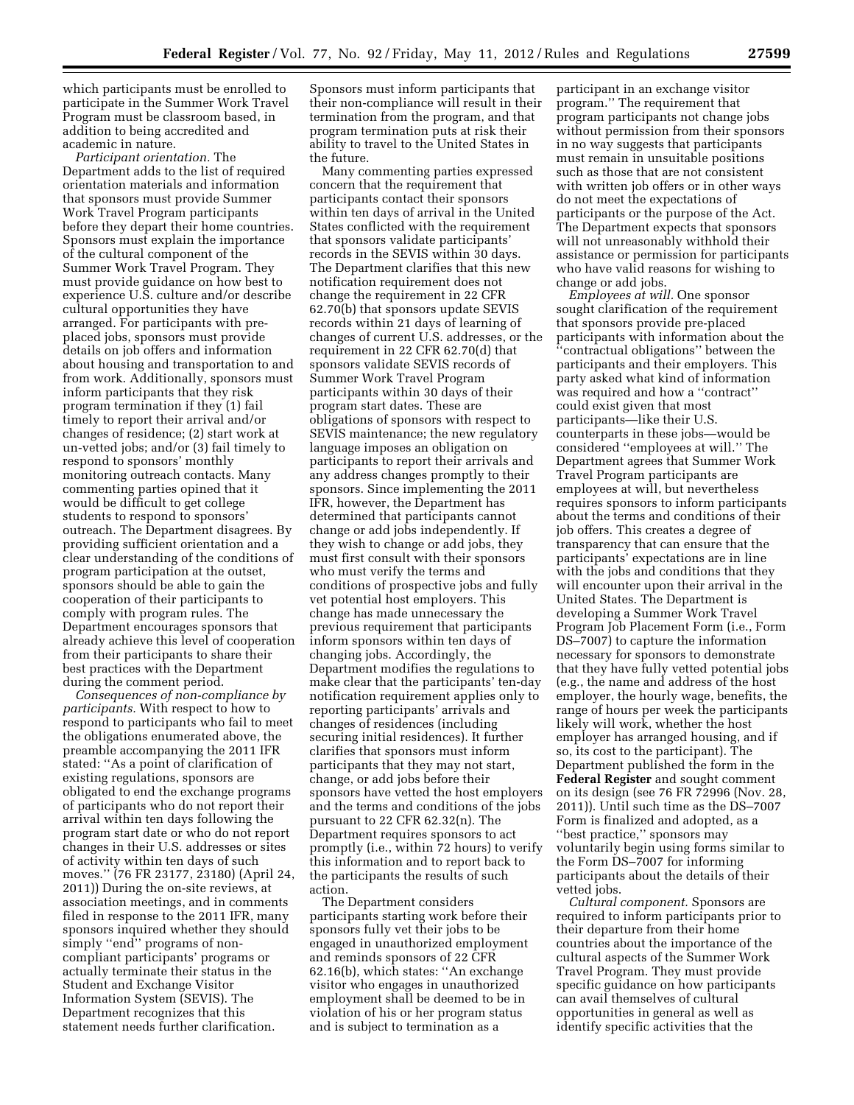which participants must be enrolled to participate in the Summer Work Travel Program must be classroom based, in addition to being accredited and academic in nature.

*Participant orientation.* The Department adds to the list of required orientation materials and information that sponsors must provide Summer Work Travel Program participants before they depart their home countries. Sponsors must explain the importance of the cultural component of the Summer Work Travel Program. They must provide guidance on how best to experience U.S. culture and/or describe cultural opportunities they have arranged. For participants with preplaced jobs, sponsors must provide details on job offers and information about housing and transportation to and from work. Additionally, sponsors must inform participants that they risk program termination if they (1) fail timely to report their arrival and/or changes of residence; (2) start work at un-vetted jobs; and/or (3) fail timely to respond to sponsors' monthly monitoring outreach contacts. Many commenting parties opined that it would be difficult to get college students to respond to sponsors' outreach. The Department disagrees. By providing sufficient orientation and a clear understanding of the conditions of program participation at the outset, sponsors should be able to gain the cooperation of their participants to comply with program rules. The Department encourages sponsors that already achieve this level of cooperation from their participants to share their best practices with the Department during the comment period.

*Consequences of non-compliance by participants.* With respect to how to respond to participants who fail to meet the obligations enumerated above, the preamble accompanying the 2011 IFR stated: ''As a point of clarification of existing regulations, sponsors are obligated to end the exchange programs of participants who do not report their arrival within ten days following the program start date or who do not report changes in their U.S. addresses or sites of activity within ten days of such moves.'' (76 FR 23177, 23180) (April 24, 2011)) During the on-site reviews, at association meetings, and in comments filed in response to the 2011 IFR, many sponsors inquired whether they should simply "end" programs of noncompliant participants' programs or actually terminate their status in the Student and Exchange Visitor Information System (SEVIS). The Department recognizes that this statement needs further clarification.

Sponsors must inform participants that their non-compliance will result in their termination from the program, and that program termination puts at risk their ability to travel to the United States in the future.

Many commenting parties expressed concern that the requirement that participants contact their sponsors within ten days of arrival in the United States conflicted with the requirement that sponsors validate participants' records in the SEVIS within 30 days. The Department clarifies that this new notification requirement does not change the requirement in 22 CFR 62.70(b) that sponsors update SEVIS records within 21 days of learning of changes of current U.S. addresses, or the requirement in 22 CFR 62.70(d) that sponsors validate SEVIS records of Summer Work Travel Program participants within 30 days of their program start dates. These are obligations of sponsors with respect to SEVIS maintenance; the new regulatory language imposes an obligation on participants to report their arrivals and any address changes promptly to their sponsors. Since implementing the 2011 IFR, however, the Department has determined that participants cannot change or add jobs independently. If they wish to change or add jobs, they must first consult with their sponsors who must verify the terms and conditions of prospective jobs and fully vet potential host employers. This change has made unnecessary the previous requirement that participants inform sponsors within ten days of changing jobs. Accordingly, the Department modifies the regulations to make clear that the participants' ten-day notification requirement applies only to reporting participants' arrivals and changes of residences (including securing initial residences). It further clarifies that sponsors must inform participants that they may not start, change, or add jobs before their sponsors have vetted the host employers and the terms and conditions of the jobs pursuant to 22 CFR 62.32(n). The Department requires sponsors to act promptly (i.e., within 72 hours) to verify this information and to report back to the participants the results of such action.

The Department considers participants starting work before their sponsors fully vet their jobs to be engaged in unauthorized employment and reminds sponsors of 22 CFR 62.16(b), which states: ''An exchange visitor who engages in unauthorized employment shall be deemed to be in violation of his or her program status and is subject to termination as a

participant in an exchange visitor program.'' The requirement that program participants not change jobs without permission from their sponsors in no way suggests that participants must remain in unsuitable positions such as those that are not consistent with written job offers or in other ways do not meet the expectations of participants or the purpose of the Act. The Department expects that sponsors will not unreasonably withhold their assistance or permission for participants who have valid reasons for wishing to change or add jobs.

*Employees at will.* One sponsor sought clarification of the requirement that sponsors provide pre-placed participants with information about the ''contractual obligations'' between the participants and their employers. This party asked what kind of information was required and how a ''contract'' could exist given that most participants—like their U.S. counterparts in these jobs—would be considered ''employees at will.'' The Department agrees that Summer Work Travel Program participants are employees at will, but nevertheless requires sponsors to inform participants about the terms and conditions of their job offers. This creates a degree of transparency that can ensure that the participants' expectations are in line with the jobs and conditions that they will encounter upon their arrival in the United States. The Department is developing a Summer Work Travel Program Job Placement Form (i.e., Form DS–7007) to capture the information necessary for sponsors to demonstrate that they have fully vetted potential jobs (e.g., the name and address of the host employer, the hourly wage, benefits, the range of hours per week the participants likely will work, whether the host employer has arranged housing, and if so, its cost to the participant). The Department published the form in the **Federal Register** and sought comment on its design (see 76 FR 72996 (Nov. 28, 2011)). Until such time as the DS–7007 Form is finalized and adopted, as a ''best practice,'' sponsors may voluntarily begin using forms similar to the Form DS–7007 for informing participants about the details of their vetted jobs.

*Cultural component.* Sponsors are required to inform participants prior to their departure from their home countries about the importance of the cultural aspects of the Summer Work Travel Program. They must provide specific guidance on how participants can avail themselves of cultural opportunities in general as well as identify specific activities that the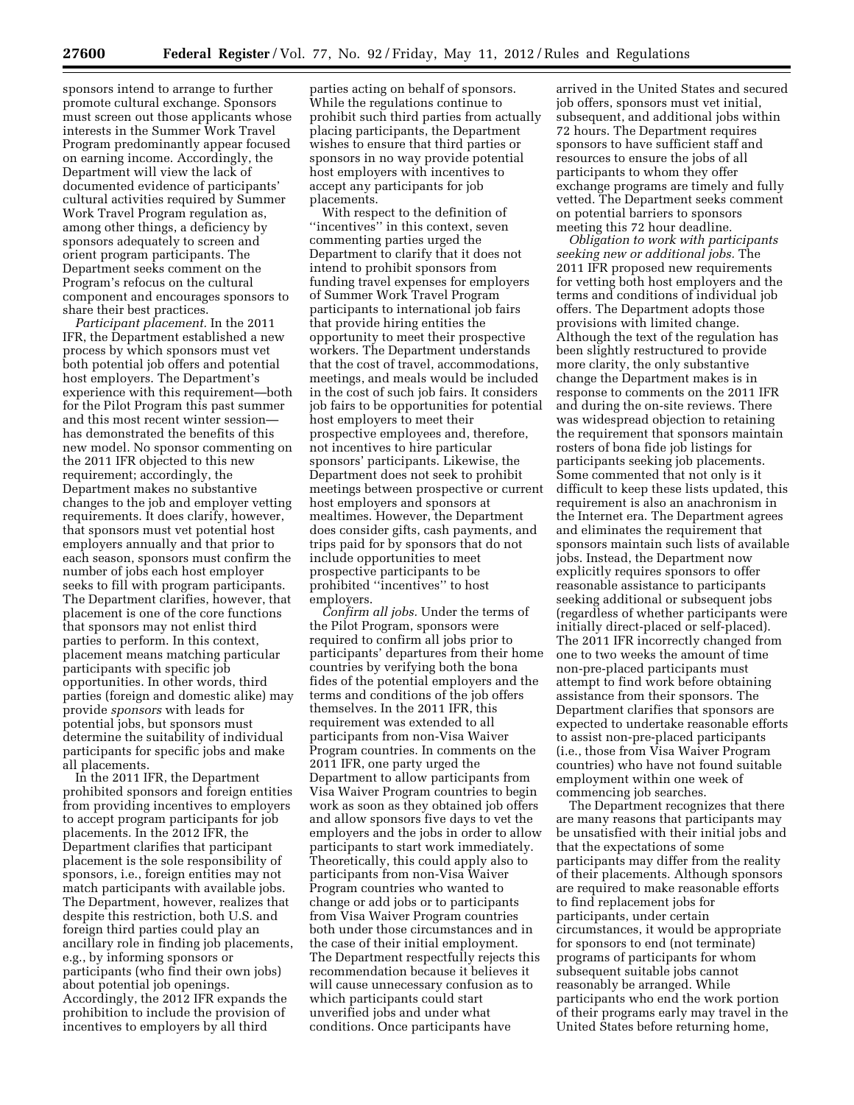sponsors intend to arrange to further promote cultural exchange. Sponsors must screen out those applicants whose interests in the Summer Work Travel Program predominantly appear focused on earning income. Accordingly, the Department will view the lack of documented evidence of participants' cultural activities required by Summer Work Travel Program regulation as, among other things, a deficiency by sponsors adequately to screen and orient program participants. The Department seeks comment on the Program's refocus on the cultural component and encourages sponsors to share their best practices.

*Participant placement.* In the 2011 IFR, the Department established a new process by which sponsors must vet both potential job offers and potential host employers. The Department's experience with this requirement—both for the Pilot Program this past summer and this most recent winter session has demonstrated the benefits of this new model. No sponsor commenting on the 2011 IFR objected to this new requirement; accordingly, the Department makes no substantive changes to the job and employer vetting requirements. It does clarify, however, that sponsors must vet potential host employers annually and that prior to each season, sponsors must confirm the number of jobs each host employer seeks to fill with program participants. The Department clarifies, however, that placement is one of the core functions that sponsors may not enlist third parties to perform. In this context, placement means matching particular participants with specific job opportunities. In other words, third parties (foreign and domestic alike) may provide *sponsors* with leads for potential jobs, but sponsors must determine the suitability of individual participants for specific jobs and make all placements.

In the 2011 IFR, the Department prohibited sponsors and foreign entities from providing incentives to employers to accept program participants for job placements. In the 2012 IFR, the Department clarifies that participant placement is the sole responsibility of sponsors, i.e., foreign entities may not match participants with available jobs. The Department, however, realizes that despite this restriction, both U.S. and foreign third parties could play an ancillary role in finding job placements, e.g., by informing sponsors or participants (who find their own jobs) about potential job openings. Accordingly, the 2012 IFR expands the prohibition to include the provision of incentives to employers by all third

parties acting on behalf of sponsors. While the regulations continue to prohibit such third parties from actually placing participants, the Department wishes to ensure that third parties or sponsors in no way provide potential host employers with incentives to accept any participants for job placements.

With respect to the definition of ''incentives'' in this context, seven commenting parties urged the Department to clarify that it does not intend to prohibit sponsors from funding travel expenses for employers of Summer Work Travel Program participants to international job fairs that provide hiring entities the opportunity to meet their prospective workers. The Department understands that the cost of travel, accommodations, meetings, and meals would be included in the cost of such job fairs. It considers job fairs to be opportunities for potential host employers to meet their prospective employees and, therefore, not incentives to hire particular sponsors' participants. Likewise, the Department does not seek to prohibit meetings between prospective or current host employers and sponsors at mealtimes. However, the Department does consider gifts, cash payments, and trips paid for by sponsors that do not include opportunities to meet prospective participants to be prohibited ''incentives'' to host employers.

*Confirm all jobs.* Under the terms of the Pilot Program, sponsors were required to confirm all jobs prior to participants' departures from their home countries by verifying both the bona fides of the potential employers and the terms and conditions of the job offers themselves. In the 2011 IFR, this requirement was extended to all participants from non-Visa Waiver Program countries. In comments on the 2011 IFR, one party urged the Department to allow participants from Visa Waiver Program countries to begin work as soon as they obtained job offers and allow sponsors five days to vet the employers and the jobs in order to allow participants to start work immediately. Theoretically, this could apply also to participants from non-Visa Waiver Program countries who wanted to change or add jobs or to participants from Visa Waiver Program countries both under those circumstances and in the case of their initial employment. The Department respectfully rejects this recommendation because it believes it will cause unnecessary confusion as to which participants could start unverified jobs and under what conditions. Once participants have

arrived in the United States and secured job offers, sponsors must vet initial, subsequent, and additional jobs within 72 hours. The Department requires sponsors to have sufficient staff and resources to ensure the jobs of all participants to whom they offer exchange programs are timely and fully vetted. The Department seeks comment on potential barriers to sponsors meeting this 72 hour deadline.

*Obligation to work with participants seeking new or additional jobs.* The 2011 IFR proposed new requirements for vetting both host employers and the terms and conditions of individual job offers. The Department adopts those provisions with limited change. Although the text of the regulation has been slightly restructured to provide more clarity, the only substantive change the Department makes is in response to comments on the 2011 IFR and during the on-site reviews. There was widespread objection to retaining the requirement that sponsors maintain rosters of bona fide job listings for participants seeking job placements. Some commented that not only is it difficult to keep these lists updated, this requirement is also an anachronism in the Internet era. The Department agrees and eliminates the requirement that sponsors maintain such lists of available jobs. Instead, the Department now explicitly requires sponsors to offer reasonable assistance to participants seeking additional or subsequent jobs (regardless of whether participants were initially direct-placed or self-placed). The 2011 IFR incorrectly changed from one to two weeks the amount of time non-pre-placed participants must attempt to find work before obtaining assistance from their sponsors. The Department clarifies that sponsors are expected to undertake reasonable efforts to assist non-pre-placed participants (i.e., those from Visa Waiver Program countries) who have not found suitable employment within one week of commencing job searches.

The Department recognizes that there are many reasons that participants may be unsatisfied with their initial jobs and that the expectations of some participants may differ from the reality of their placements. Although sponsors are required to make reasonable efforts to find replacement jobs for participants, under certain circumstances, it would be appropriate for sponsors to end (not terminate) programs of participants for whom subsequent suitable jobs cannot reasonably be arranged. While participants who end the work portion of their programs early may travel in the United States before returning home,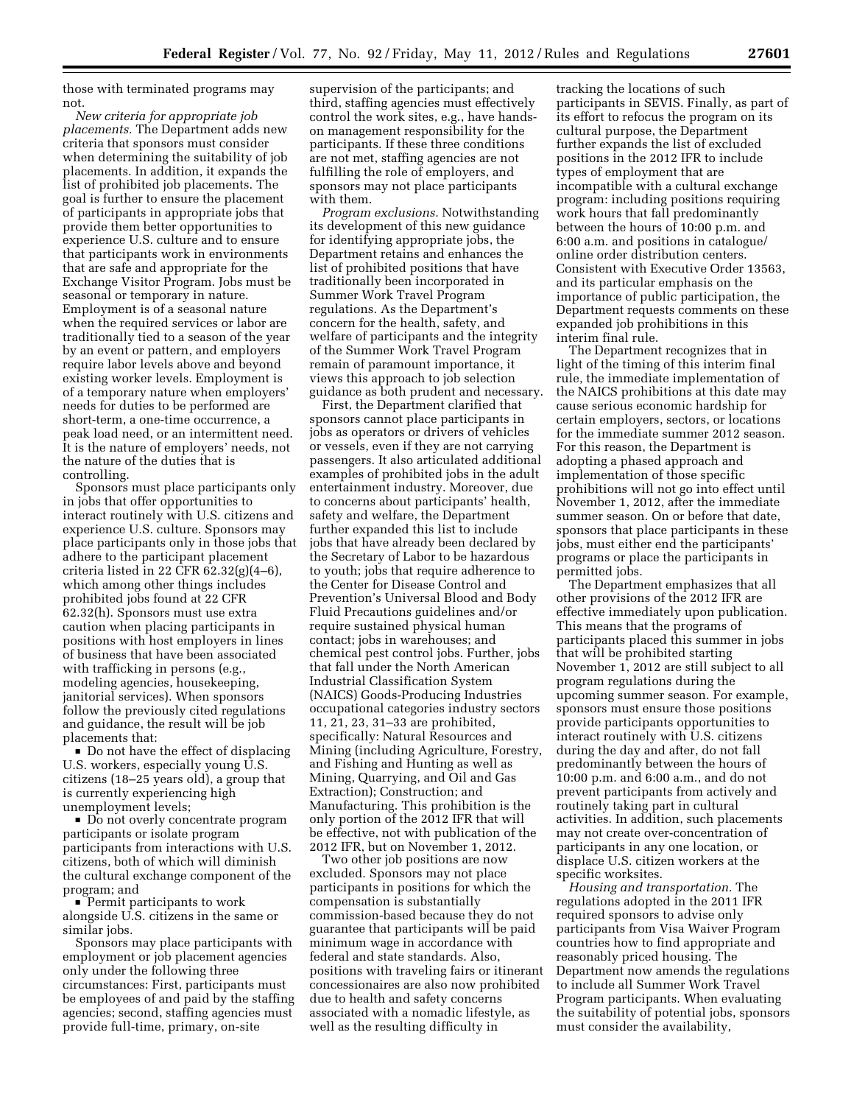those with terminated programs may not.

*New criteria for appropriate job placements.* The Department adds new criteria that sponsors must consider when determining the suitability of job placements. In addition, it expands the list of prohibited job placements. The goal is further to ensure the placement of participants in appropriate jobs that provide them better opportunities to experience U.S. culture and to ensure that participants work in environments that are safe and appropriate for the Exchange Visitor Program. Jobs must be seasonal or temporary in nature. Employment is of a seasonal nature when the required services or labor are traditionally tied to a season of the year by an event or pattern, and employers require labor levels above and beyond existing worker levels. Employment is of a temporary nature when employers' needs for duties to be performed are short-term, a one-time occurrence, a peak load need, or an intermittent need. It is the nature of employers' needs, not the nature of the duties that is controlling.

Sponsors must place participants only in jobs that offer opportunities to interact routinely with U.S. citizens and experience U.S. culture. Sponsors may place participants only in those jobs that adhere to the participant placement criteria listed in 22 CFR 62.32(g)(4–6), which among other things includes prohibited jobs found at 22 CFR 62.32(h). Sponsors must use extra caution when placing participants in positions with host employers in lines of business that have been associated with trafficking in persons (e.g., modeling agencies, housekeeping, janitorial services). When sponsors follow the previously cited regulations and guidance, the result will be job placements that:

Do not have the effect of displacing U.S. workers, especially young U.S. citizens (18–25 years old), a group that is currently experiencing high unemployment levels;

• Do not overly concentrate program participants or isolate program participants from interactions with U.S. citizens, both of which will diminish the cultural exchange component of the program; and

 $\blacksquare$  Permit participants to work alongside U.S. citizens in the same or similar jobs.

Sponsors may place participants with employment or job placement agencies only under the following three circumstances: First, participants must be employees of and paid by the staffing agencies; second, staffing agencies must provide full-time, primary, on-site

supervision of the participants; and third, staffing agencies must effectively control the work sites, e.g., have handson management responsibility for the participants. If these three conditions are not met, staffing agencies are not fulfilling the role of employers, and sponsors may not place participants with them.

*Program exclusions.* Notwithstanding its development of this new guidance for identifying appropriate jobs, the Department retains and enhances the list of prohibited positions that have traditionally been incorporated in Summer Work Travel Program regulations. As the Department's concern for the health, safety, and welfare of participants and the integrity of the Summer Work Travel Program remain of paramount importance, it views this approach to job selection guidance as both prudent and necessary.

First, the Department clarified that sponsors cannot place participants in jobs as operators or drivers of vehicles or vessels, even if they are not carrying passengers. It also articulated additional examples of prohibited jobs in the adult entertainment industry. Moreover, due to concerns about participants' health, safety and welfare, the Department further expanded this list to include jobs that have already been declared by the Secretary of Labor to be hazardous to youth; jobs that require adherence to the Center for Disease Control and Prevention's Universal Blood and Body Fluid Precautions guidelines and/or require sustained physical human contact; jobs in warehouses; and chemical pest control jobs. Further, jobs that fall under the North American Industrial Classification System (NAICS) Goods-Producing Industries occupational categories industry sectors 11, 21, 23, 31–33 are prohibited, specifically: Natural Resources and Mining (including Agriculture, Forestry, and Fishing and Hunting as well as Mining, Quarrying, and Oil and Gas Extraction); Construction; and Manufacturing. This prohibition is the only portion of the 2012 IFR that will be effective, not with publication of the 2012 IFR, but on November 1, 2012.

Two other job positions are now excluded. Sponsors may not place participants in positions for which the compensation is substantially commission-based because they do not guarantee that participants will be paid minimum wage in accordance with federal and state standards. Also, positions with traveling fairs or itinerant concessionaires are also now prohibited due to health and safety concerns associated with a nomadic lifestyle, as well as the resulting difficulty in

tracking the locations of such participants in SEVIS. Finally, as part of its effort to refocus the program on its cultural purpose, the Department further expands the list of excluded positions in the 2012 IFR to include types of employment that are incompatible with a cultural exchange program: including positions requiring work hours that fall predominantly between the hours of 10:00 p.m. and 6:00 a.m. and positions in catalogue/ online order distribution centers. Consistent with Executive Order 13563, and its particular emphasis on the importance of public participation, the Department requests comments on these expanded job prohibitions in this interim final rule.

The Department recognizes that in light of the timing of this interim final rule, the immediate implementation of the NAICS prohibitions at this date may cause serious economic hardship for certain employers, sectors, or locations for the immediate summer 2012 season. For this reason, the Department is adopting a phased approach and implementation of those specific prohibitions will not go into effect until November 1, 2012, after the immediate summer season. On or before that date, sponsors that place participants in these jobs, must either end the participants' programs or place the participants in permitted jobs.

The Department emphasizes that all other provisions of the 2012 IFR are effective immediately upon publication. This means that the programs of participants placed this summer in jobs that will be prohibited starting November 1, 2012 are still subject to all program regulations during the upcoming summer season. For example, sponsors must ensure those positions provide participants opportunities to interact routinely with U.S. citizens during the day and after, do not fall predominantly between the hours of 10:00 p.m. and 6:00 a.m., and do not prevent participants from actively and routinely taking part in cultural activities. In addition, such placements may not create over-concentration of participants in any one location, or displace U.S. citizen workers at the specific worksites.

*Housing and transportation.* The regulations adopted in the 2011 IFR required sponsors to advise only participants from Visa Waiver Program countries how to find appropriate and reasonably priced housing. The Department now amends the regulations to include all Summer Work Travel Program participants. When evaluating the suitability of potential jobs, sponsors must consider the availability,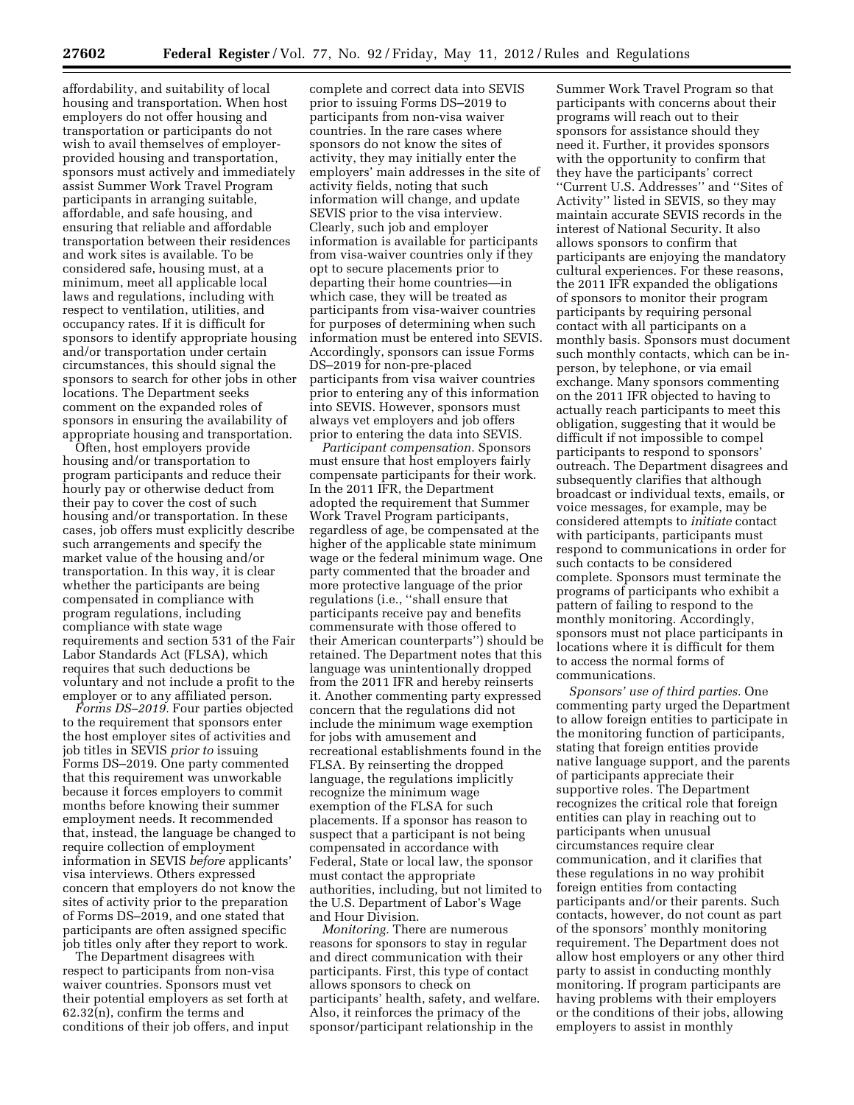affordability, and suitability of local housing and transportation. When host employers do not offer housing and transportation or participants do not wish to avail themselves of employerprovided housing and transportation, sponsors must actively and immediately assist Summer Work Travel Program participants in arranging suitable, affordable, and safe housing, and ensuring that reliable and affordable transportation between their residences and work sites is available. To be considered safe, housing must, at a minimum, meet all applicable local laws and regulations, including with respect to ventilation, utilities, and occupancy rates. If it is difficult for sponsors to identify appropriate housing and/or transportation under certain circumstances, this should signal the sponsors to search for other jobs in other locations. The Department seeks comment on the expanded roles of sponsors in ensuring the availability of appropriate housing and transportation.

Often, host employers provide housing and/or transportation to program participants and reduce their hourly pay or otherwise deduct from their pay to cover the cost of such housing and/or transportation. In these cases, job offers must explicitly describe such arrangements and specify the market value of the housing and/or transportation. In this way, it is clear whether the participants are being compensated in compliance with program regulations, including compliance with state wage requirements and section 531 of the Fair Labor Standards Act (FLSA), which requires that such deductions be voluntary and not include a profit to the employer or to any affiliated person.

*Forms DS–2019.* Four parties objected to the requirement that sponsors enter the host employer sites of activities and job titles in SEVIS *prior to* issuing Forms DS–2019. One party commented that this requirement was unworkable because it forces employers to commit months before knowing their summer employment needs. It recommended that, instead, the language be changed to require collection of employment information in SEVIS *before* applicants' visa interviews. Others expressed concern that employers do not know the sites of activity prior to the preparation of Forms DS–2019, and one stated that participants are often assigned specific job titles only after they report to work.

The Department disagrees with respect to participants from non-visa waiver countries. Sponsors must vet their potential employers as set forth at 62.32(n), confirm the terms and conditions of their job offers, and input

complete and correct data into SEVIS prior to issuing Forms DS–2019 to participants from non-visa waiver countries. In the rare cases where sponsors do not know the sites of activity, they may initially enter the employers' main addresses in the site of activity fields, noting that such information will change, and update SEVIS prior to the visa interview. Clearly, such job and employer information is available for participants from visa-waiver countries only if they opt to secure placements prior to departing their home countries—in which case, they will be treated as participants from visa-waiver countries for purposes of determining when such information must be entered into SEVIS. Accordingly, sponsors can issue Forms DS–2019 for non-pre-placed participants from visa waiver countries prior to entering any of this information into SEVIS. However, sponsors must always vet employers and job offers prior to entering the data into SEVIS.

*Participant compensation.* Sponsors must ensure that host employers fairly compensate participants for their work. In the 2011 IFR, the Department adopted the requirement that Summer Work Travel Program participants, regardless of age, be compensated at the higher of the applicable state minimum wage or the federal minimum wage. One party commented that the broader and more protective language of the prior regulations (i.e., ''shall ensure that participants receive pay and benefits commensurate with those offered to their American counterparts'') should be retained. The Department notes that this language was unintentionally dropped from the 2011 IFR and hereby reinserts it. Another commenting party expressed concern that the regulations did not include the minimum wage exemption for jobs with amusement and recreational establishments found in the FLSA. By reinserting the dropped language, the regulations implicitly recognize the minimum wage exemption of the FLSA for such placements. If a sponsor has reason to suspect that a participant is not being compensated in accordance with Federal, State or local law, the sponsor must contact the appropriate authorities, including, but not limited to the U.S. Department of Labor's Wage and Hour Division.

*Monitoring.* There are numerous reasons for sponsors to stay in regular and direct communication with their participants. First, this type of contact allows sponsors to check on participants' health, safety, and welfare. Also, it reinforces the primacy of the sponsor/participant relationship in the

Summer Work Travel Program so that participants with concerns about their programs will reach out to their sponsors for assistance should they need it. Further, it provides sponsors with the opportunity to confirm that they have the participants' correct ''Current U.S. Addresses'' and ''Sites of Activity'' listed in SEVIS, so they may maintain accurate SEVIS records in the interest of National Security. It also allows sponsors to confirm that participants are enjoying the mandatory cultural experiences. For these reasons, the 2011 IFR expanded the obligations of sponsors to monitor their program participants by requiring personal contact with all participants on a monthly basis. Sponsors must document such monthly contacts, which can be inperson, by telephone, or via email exchange. Many sponsors commenting on the 2011 IFR objected to having to actually reach participants to meet this obligation, suggesting that it would be difficult if not impossible to compel participants to respond to sponsors' outreach. The Department disagrees and subsequently clarifies that although broadcast or individual texts, emails, or voice messages, for example, may be considered attempts to *initiate* contact with participants, participants must respond to communications in order for such contacts to be considered complete. Sponsors must terminate the programs of participants who exhibit a pattern of failing to respond to the monthly monitoring. Accordingly, sponsors must not place participants in locations where it is difficult for them to access the normal forms of communications.

*Sponsors' use of third parties.* One commenting party urged the Department to allow foreign entities to participate in the monitoring function of participants, stating that foreign entities provide native language support, and the parents of participants appreciate their supportive roles. The Department recognizes the critical role that foreign entities can play in reaching out to participants when unusual circumstances require clear communication, and it clarifies that these regulations in no way prohibit foreign entities from contacting participants and/or their parents. Such contacts, however, do not count as part of the sponsors' monthly monitoring requirement. The Department does not allow host employers or any other third party to assist in conducting monthly monitoring. If program participants are having problems with their employers or the conditions of their jobs, allowing employers to assist in monthly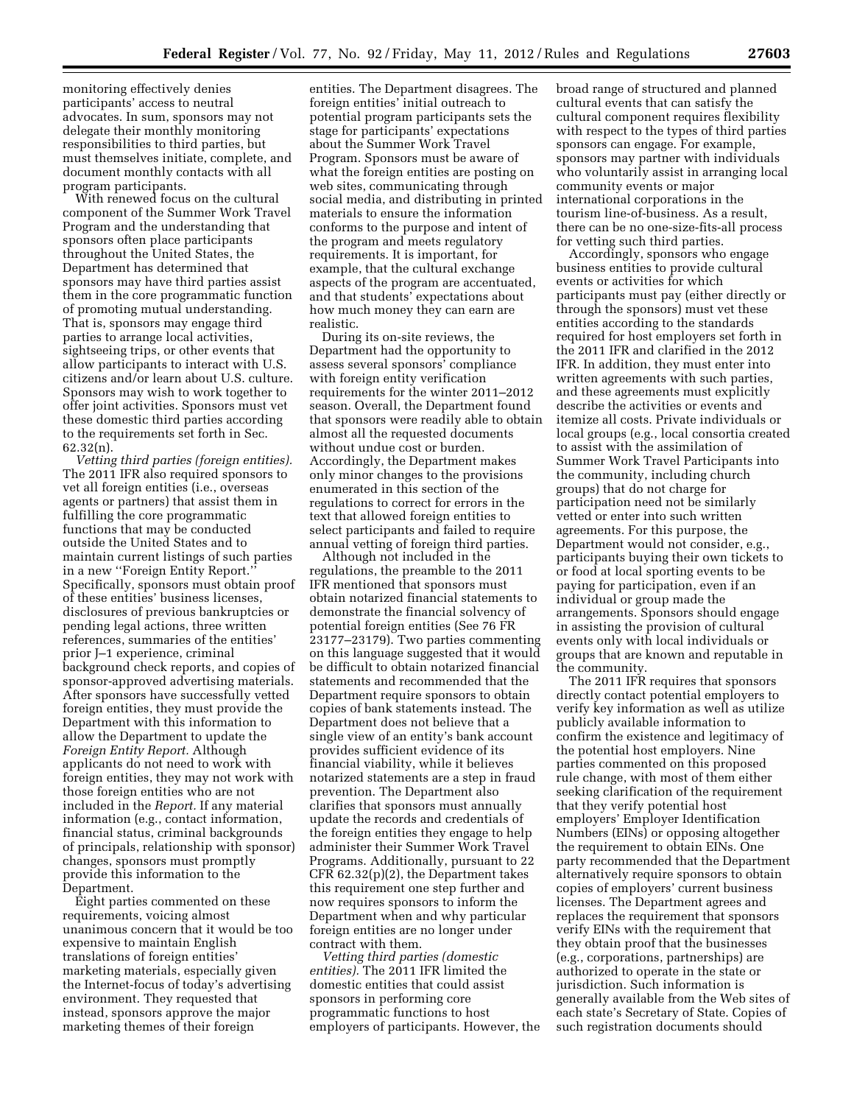monitoring effectively denies participants' access to neutral advocates. In sum, sponsors may not delegate their monthly monitoring responsibilities to third parties, but must themselves initiate, complete, and document monthly contacts with all program participants.

With renewed focus on the cultural component of the Summer Work Travel Program and the understanding that sponsors often place participants throughout the United States, the Department has determined that sponsors may have third parties assist them in the core programmatic function of promoting mutual understanding. That is, sponsors may engage third parties to arrange local activities, sightseeing trips, or other events that allow participants to interact with U.S. citizens and/or learn about U.S. culture. Sponsors may wish to work together to offer joint activities. Sponsors must vet these domestic third parties according to the requirements set forth in Sec. 62.32(n).

*Vetting third parties (foreign entities).*  The 2011 IFR also required sponsors to vet all foreign entities (i.e., overseas agents or partners) that assist them in fulfilling the core programmatic functions that may be conducted outside the United States and to maintain current listings of such parties in a new ''Foreign Entity Report.'' Specifically, sponsors must obtain proof of these entities' business licenses, disclosures of previous bankruptcies or pending legal actions, three written references, summaries of the entities' prior J–1 experience, criminal background check reports, and copies of sponsor-approved advertising materials. After sponsors have successfully vetted foreign entities, they must provide the Department with this information to allow the Department to update the *Foreign Entity Report.* Although applicants do not need to work with foreign entities, they may not work with those foreign entities who are not included in the *Report.* If any material information (e.g., contact information, financial status, criminal backgrounds of principals, relationship with sponsor) changes, sponsors must promptly provide this information to the Department.

Eight parties commented on these requirements, voicing almost unanimous concern that it would be too expensive to maintain English translations of foreign entities' marketing materials, especially given the Internet-focus of today's advertising environment. They requested that instead, sponsors approve the major marketing themes of their foreign

entities. The Department disagrees. The foreign entities' initial outreach to potential program participants sets the stage for participants' expectations about the Summer Work Travel Program. Sponsors must be aware of what the foreign entities are posting on web sites, communicating through social media, and distributing in printed materials to ensure the information conforms to the purpose and intent of the program and meets regulatory requirements. It is important, for example, that the cultural exchange aspects of the program are accentuated, and that students' expectations about how much money they can earn are realistic.

During its on-site reviews, the Department had the opportunity to assess several sponsors' compliance with foreign entity verification requirements for the winter 2011–2012 season. Overall, the Department found that sponsors were readily able to obtain almost all the requested documents without undue cost or burden. Accordingly, the Department makes only minor changes to the provisions enumerated in this section of the regulations to correct for errors in the text that allowed foreign entities to select participants and failed to require annual vetting of foreign third parties.

Although not included in the regulations, the preamble to the 2011 IFR mentioned that sponsors must obtain notarized financial statements to demonstrate the financial solvency of potential foreign entities (See 76 FR 23177–23179). Two parties commenting on this language suggested that it would be difficult to obtain notarized financial statements and recommended that the Department require sponsors to obtain copies of bank statements instead. The Department does not believe that a single view of an entity's bank account provides sufficient evidence of its financial viability, while it believes notarized statements are a step in fraud prevention. The Department also clarifies that sponsors must annually update the records and credentials of the foreign entities they engage to help administer their Summer Work Travel Programs. Additionally, pursuant to 22 CFR 62.32(p)(2), the Department takes this requirement one step further and now requires sponsors to inform the Department when and why particular foreign entities are no longer under contract with them.

*Vetting third parties (domestic entities).* The 2011 IFR limited the domestic entities that could assist sponsors in performing core programmatic functions to host employers of participants. However, the broad range of structured and planned cultural events that can satisfy the cultural component requires flexibility with respect to the types of third parties sponsors can engage. For example, sponsors may partner with individuals who voluntarily assist in arranging local community events or major international corporations in the tourism line-of-business. As a result, there can be no one-size-fits-all process for vetting such third parties.

Accordingly, sponsors who engage business entities to provide cultural events or activities for which participants must pay (either directly or through the sponsors) must vet these entities according to the standards required for host employers set forth in the 2011 IFR and clarified in the 2012 IFR. In addition, they must enter into written agreements with such parties, and these agreements must explicitly describe the activities or events and itemize all costs. Private individuals or local groups (e.g., local consortia created to assist with the assimilation of Summer Work Travel Participants into the community, including church groups) that do not charge for participation need not be similarly vetted or enter into such written agreements. For this purpose, the Department would not consider, e.g., participants buying their own tickets to or food at local sporting events to be paying for participation, even if an individual or group made the arrangements. Sponsors should engage in assisting the provision of cultural events only with local individuals or groups that are known and reputable in the community.

The 2011 IFR requires that sponsors directly contact potential employers to verify key information as well as utilize publicly available information to confirm the existence and legitimacy of the potential host employers. Nine parties commented on this proposed rule change, with most of them either seeking clarification of the requirement that they verify potential host employers' Employer Identification Numbers (EINs) or opposing altogether the requirement to obtain EINs. One party recommended that the Department alternatively require sponsors to obtain copies of employers' current business licenses. The Department agrees and replaces the requirement that sponsors verify EINs with the requirement that they obtain proof that the businesses (e.g., corporations, partnerships) are authorized to operate in the state or jurisdiction. Such information is generally available from the Web sites of each state's Secretary of State. Copies of such registration documents should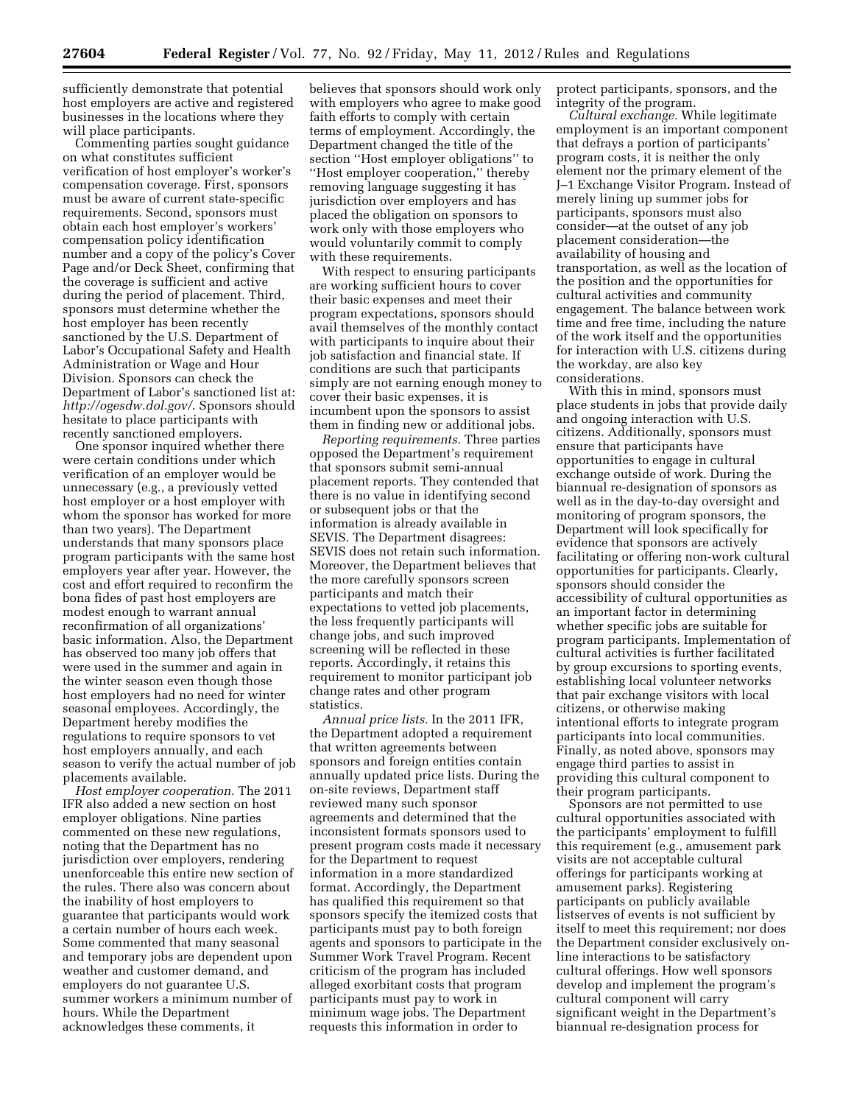sufficiently demonstrate that potential host employers are active and registered businesses in the locations where they will place participants.

Commenting parties sought guidance on what constitutes sufficient verification of host employer's worker's compensation coverage. First, sponsors must be aware of current state-specific requirements. Second, sponsors must obtain each host employer's workers' compensation policy identification number and a copy of the policy's Cover Page and/or Deck Sheet, confirming that the coverage is sufficient and active during the period of placement. Third, sponsors must determine whether the host employer has been recently sanctioned by the U.S. Department of Labor's Occupational Safety and Health Administration or Wage and Hour Division. Sponsors can check the Department of Labor's sanctioned list at: *<http://ogesdw.dol.gov/>*. Sponsors should hesitate to place participants with recently sanctioned employers.

One sponsor inquired whether there were certain conditions under which verification of an employer would be unnecessary (e.g., a previously vetted host employer or a host employer with whom the sponsor has worked for more than two years). The Department understands that many sponsors place program participants with the same host employers year after year. However, the cost and effort required to reconfirm the bona fides of past host employers are modest enough to warrant annual reconfirmation of all organizations' basic information. Also, the Department has observed too many job offers that were used in the summer and again in the winter season even though those host employers had no need for winter seasonal employees. Accordingly, the Department hereby modifies the regulations to require sponsors to vet host employers annually, and each season to verify the actual number of job placements available.

*Host employer cooperation.* The 2011 IFR also added a new section on host employer obligations. Nine parties commented on these new regulations, noting that the Department has no jurisdiction over employers, rendering unenforceable this entire new section of the rules. There also was concern about the inability of host employers to guarantee that participants would work a certain number of hours each week. Some commented that many seasonal and temporary jobs are dependent upon weather and customer demand, and employers do not guarantee U.S. summer workers a minimum number of hours. While the Department acknowledges these comments, it

believes that sponsors should work only with employers who agree to make good faith efforts to comply with certain terms of employment. Accordingly, the Department changed the title of the section ''Host employer obligations'' to ''Host employer cooperation,'' thereby removing language suggesting it has jurisdiction over employers and has placed the obligation on sponsors to work only with those employers who would voluntarily commit to comply with these requirements.

With respect to ensuring participants are working sufficient hours to cover their basic expenses and meet their program expectations, sponsors should avail themselves of the monthly contact with participants to inquire about their job satisfaction and financial state. If conditions are such that participants simply are not earning enough money to cover their basic expenses, it is incumbent upon the sponsors to assist them in finding new or additional jobs.

*Reporting requirements.* Three parties opposed the Department's requirement that sponsors submit semi-annual placement reports. They contended that there is no value in identifying second or subsequent jobs or that the information is already available in SEVIS. The Department disagrees: SEVIS does not retain such information. Moreover, the Department believes that the more carefully sponsors screen participants and match their expectations to vetted job placements, the less frequently participants will change jobs, and such improved screening will be reflected in these reports. Accordingly, it retains this requirement to monitor participant job change rates and other program statistics.

*Annual price lists.* In the 2011 IFR, the Department adopted a requirement that written agreements between sponsors and foreign entities contain annually updated price lists. During the on-site reviews, Department staff reviewed many such sponsor agreements and determined that the inconsistent formats sponsors used to present program costs made it necessary for the Department to request information in a more standardized format. Accordingly, the Department has qualified this requirement so that sponsors specify the itemized costs that participants must pay to both foreign agents and sponsors to participate in the Summer Work Travel Program. Recent criticism of the program has included alleged exorbitant costs that program participants must pay to work in minimum wage jobs. The Department requests this information in order to

protect participants, sponsors, and the integrity of the program.

*Cultural exchange.* While legitimate employment is an important component that defrays a portion of participants' program costs, it is neither the only element nor the primary element of the J–1 Exchange Visitor Program. Instead of merely lining up summer jobs for participants, sponsors must also consider—at the outset of any job placement consideration—the availability of housing and transportation, as well as the location of the position and the opportunities for cultural activities and community engagement. The balance between work time and free time, including the nature of the work itself and the opportunities for interaction with U.S. citizens during the workday, are also key considerations.

With this in mind, sponsors must place students in jobs that provide daily and ongoing interaction with U.S. citizens. Additionally, sponsors must ensure that participants have opportunities to engage in cultural exchange outside of work. During the biannual re-designation of sponsors as well as in the day-to-day oversight and monitoring of program sponsors, the Department will look specifically for evidence that sponsors are actively facilitating or offering non-work cultural opportunities for participants. Clearly, sponsors should consider the accessibility of cultural opportunities as an important factor in determining whether specific jobs are suitable for program participants. Implementation of cultural activities is further facilitated by group excursions to sporting events, establishing local volunteer networks that pair exchange visitors with local citizens, or otherwise making intentional efforts to integrate program participants into local communities. Finally, as noted above, sponsors may engage third parties to assist in providing this cultural component to their program participants.

Sponsors are not permitted to use cultural opportunities associated with the participants' employment to fulfill this requirement (e.g., amusement park visits are not acceptable cultural offerings for participants working at amusement parks). Registering participants on publicly available listserves of events is not sufficient by itself to meet this requirement; nor does the Department consider exclusively online interactions to be satisfactory cultural offerings. How well sponsors develop and implement the program's cultural component will carry significant weight in the Department's biannual re-designation process for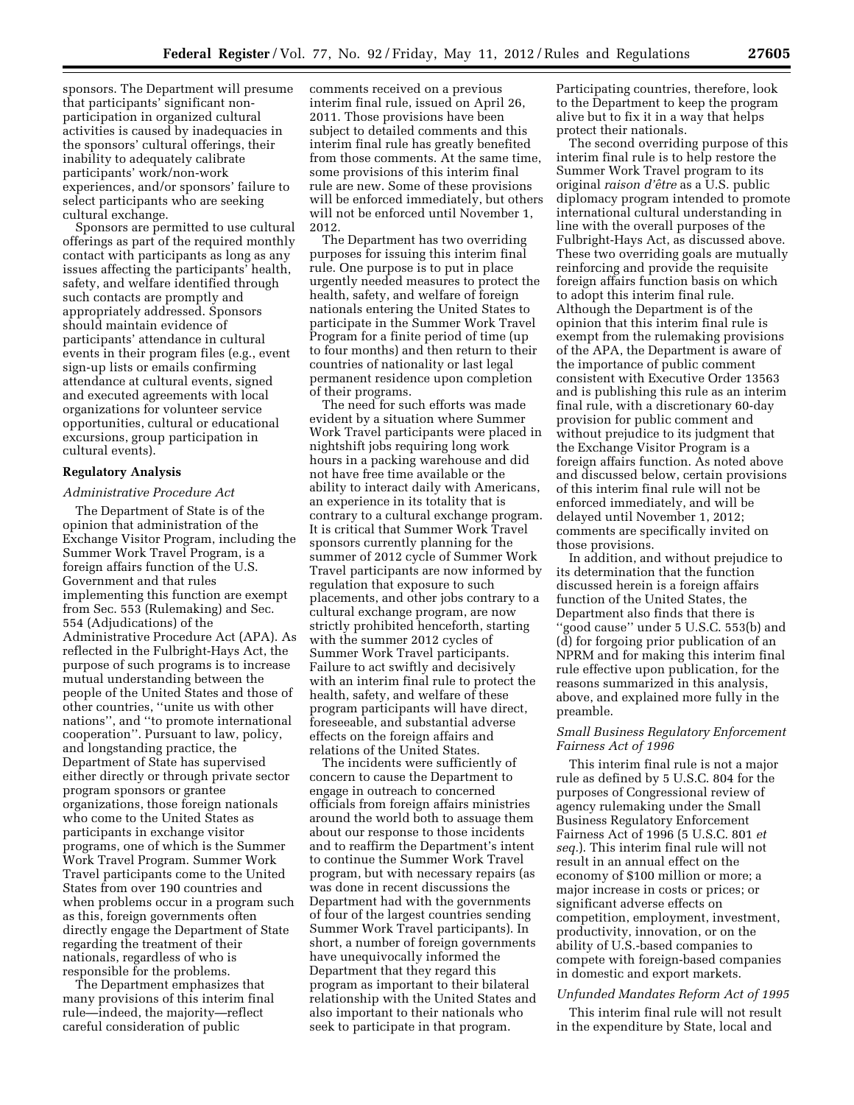sponsors. The Department will presume that participants' significant nonparticipation in organized cultural activities is caused by inadequacies in the sponsors' cultural offerings, their inability to adequately calibrate participants' work/non-work experiences, and/or sponsors' failure to select participants who are seeking cultural exchange.

Sponsors are permitted to use cultural offerings as part of the required monthly contact with participants as long as any issues affecting the participants' health, safety, and welfare identified through such contacts are promptly and appropriately addressed. Sponsors should maintain evidence of participants' attendance in cultural events in their program files (e.g., event sign-up lists or emails confirming attendance at cultural events, signed and executed agreements with local organizations for volunteer service opportunities, cultural or educational excursions, group participation in cultural events).

#### **Regulatory Analysis**

## *Administrative Procedure Act*

The Department of State is of the opinion that administration of the Exchange Visitor Program, including the Summer Work Travel Program, is a foreign affairs function of the U.S. Government and that rules implementing this function are exempt from Sec. 553 (Rulemaking) and Sec. 554 (Adjudications) of the Administrative Procedure Act (APA). As reflected in the Fulbright-Hays Act, the purpose of such programs is to increase mutual understanding between the people of the United States and those of other countries, ''unite us with other nations'', and ''to promote international cooperation''. Pursuant to law, policy, and longstanding practice, the Department of State has supervised either directly or through private sector program sponsors or grantee organizations, those foreign nationals who come to the United States as participants in exchange visitor programs, one of which is the Summer Work Travel Program. Summer Work Travel participants come to the United States from over 190 countries and when problems occur in a program such as this, foreign governments often directly engage the Department of State regarding the treatment of their nationals, regardless of who is responsible for the problems.

The Department emphasizes that many provisions of this interim final rule—indeed, the majority—reflect careful consideration of public

comments received on a previous interim final rule, issued on April 26, 2011. Those provisions have been subject to detailed comments and this interim final rule has greatly benefited from those comments. At the same time, some provisions of this interim final rule are new. Some of these provisions will be enforced immediately, but others will not be enforced until November 1, 2012.

The Department has two overriding purposes for issuing this interim final rule. One purpose is to put in place urgently needed measures to protect the health, safety, and welfare of foreign nationals entering the United States to participate in the Summer Work Travel Program for a finite period of time (up to four months) and then return to their countries of nationality or last legal permanent residence upon completion of their programs.

The need for such efforts was made evident by a situation where Summer Work Travel participants were placed in nightshift jobs requiring long work hours in a packing warehouse and did not have free time available or the ability to interact daily with Americans, an experience in its totality that is contrary to a cultural exchange program. It is critical that Summer Work Travel sponsors currently planning for the summer of 2012 cycle of Summer Work Travel participants are now informed by regulation that exposure to such placements, and other jobs contrary to a cultural exchange program, are now strictly prohibited henceforth, starting with the summer 2012 cycles of Summer Work Travel participants. Failure to act swiftly and decisively with an interim final rule to protect the health, safety, and welfare of these program participants will have direct, foreseeable, and substantial adverse effects on the foreign affairs and relations of the United States.

The incidents were sufficiently of concern to cause the Department to engage in outreach to concerned officials from foreign affairs ministries around the world both to assuage them about our response to those incidents and to reaffirm the Department's intent to continue the Summer Work Travel program, but with necessary repairs (as was done in recent discussions the Department had with the governments of four of the largest countries sending Summer Work Travel participants). In short, a number of foreign governments have unequivocally informed the Department that they regard this program as important to their bilateral relationship with the United States and also important to their nationals who seek to participate in that program.

Participating countries, therefore, look to the Department to keep the program alive but to fix it in a way that helps protect their nationals.

The second overriding purpose of this interim final rule is to help restore the Summer Work Travel program to its original *raison d'eˆtre* as a U.S. public diplomacy program intended to promote international cultural understanding in line with the overall purposes of the Fulbright-Hays Act, as discussed above. These two overriding goals are mutually reinforcing and provide the requisite foreign affairs function basis on which to adopt this interim final rule. Although the Department is of the opinion that this interim final rule is exempt from the rulemaking provisions of the APA, the Department is aware of the importance of public comment consistent with Executive Order 13563 and is publishing this rule as an interim final rule, with a discretionary 60-day provision for public comment and without prejudice to its judgment that the Exchange Visitor Program is a foreign affairs function. As noted above and discussed below, certain provisions of this interim final rule will not be enforced immediately, and will be delayed until November 1, 2012; comments are specifically invited on those provisions.

In addition, and without prejudice to its determination that the function discussed herein is a foreign affairs function of the United States, the Department also finds that there is ''good cause'' under 5 U.S.C. 553(b) and (d) for forgoing prior publication of an NPRM and for making this interim final rule effective upon publication, for the reasons summarized in this analysis, above, and explained more fully in the preamble.

## *Small Business Regulatory Enforcement Fairness Act of 1996*

This interim final rule is not a major rule as defined by 5 U.S.C. 804 for the purposes of Congressional review of agency rulemaking under the Small Business Regulatory Enforcement Fairness Act of 1996 (5 U.S.C. 801 *et seq.*). This interim final rule will not result in an annual effect on the economy of \$100 million or more; a major increase in costs or prices; or significant adverse effects on competition, employment, investment, productivity, innovation, or on the ability of U.S.-based companies to compete with foreign-based companies in domestic and export markets.

# *Unfunded Mandates Reform Act of 1995*

This interim final rule will not result in the expenditure by State, local and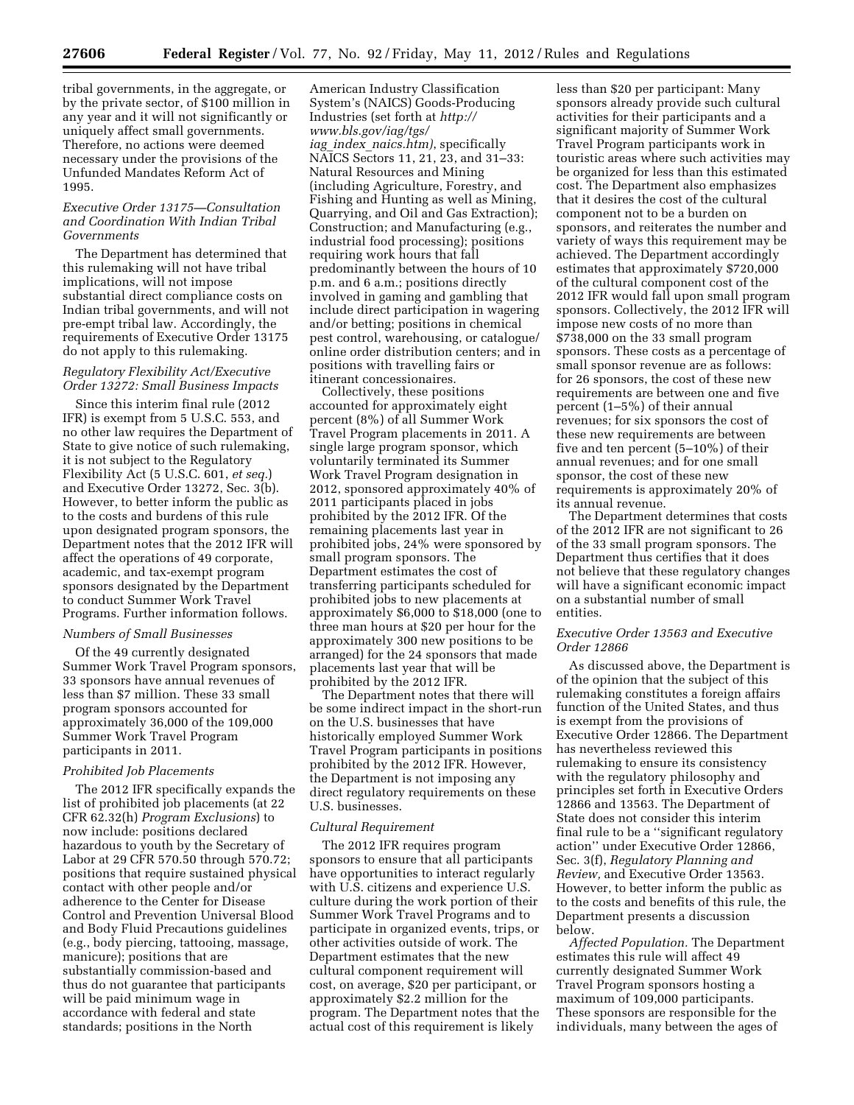tribal governments, in the aggregate, or by the private sector, of \$100 million in any year and it will not significantly or uniquely affect small governments. Therefore, no actions were deemed necessary under the provisions of the Unfunded Mandates Reform Act of 1995.

# *Executive Order 13175—Consultation and Coordination With Indian Tribal Governments*

The Department has determined that this rulemaking will not have tribal implications, will not impose substantial direct compliance costs on Indian tribal governments, and will not pre-empt tribal law. Accordingly, the requirements of Executive Order 13175 do not apply to this rulemaking.

# *Regulatory Flexibility Act/Executive Order 13272: Small Business Impacts*

Since this interim final rule (2012 IFR) is exempt from 5 U.S.C. 553, and no other law requires the Department of State to give notice of such rulemaking, it is not subject to the Regulatory Flexibility Act (5 U.S.C. 601, *et seq.*) and Executive Order 13272, Sec. 3(b). However, to better inform the public as to the costs and burdens of this rule upon designated program sponsors, the Department notes that the 2012 IFR will affect the operations of 49 corporate, academic, and tax-exempt program sponsors designated by the Department to conduct Summer Work Travel Programs. Further information follows.

# *Numbers of Small Businesses*

Of the 49 currently designated Summer Work Travel Program sponsors, 33 sponsors have annual revenues of less than \$7 million. These 33 small program sponsors accounted for approximately 36,000 of the 109,000 Summer Work Travel Program participants in 2011.

#### *Prohibited Job Placements*

The 2012 IFR specifically expands the list of prohibited job placements (at 22 CFR 62.32(h) *Program Exclusions*) to now include: positions declared hazardous to youth by the Secretary of Labor at 29 CFR 570.50 through 570.72; positions that require sustained physical contact with other people and/or adherence to the Center for Disease Control and Prevention Universal Blood and Body Fluid Precautions guidelines (e.g., body piercing, tattooing, massage, manicure); positions that are substantially commission-based and thus do not guarantee that participants will be paid minimum wage in accordance with federal and state standards; positions in the North

American Industry Classification System's (NAICS) Goods-Producing Industries (set forth at *[http://](http://www.bls.gov/iag/tgs/iag_index_naics.htm)  [www.bls.gov/iag/tgs/](http://www.bls.gov/iag/tgs/iag_index_naics.htm)  iag*\_*index*\_*[naics.htm\)](http://www.bls.gov/iag/tgs/iag_index_naics.htm)*, specifically NAICS Sectors 11, 21, 23, and 31–33: Natural Resources and Mining (including Agriculture, Forestry, and Fishing and Hunting as well as Mining, Quarrying, and Oil and Gas Extraction); Construction; and Manufacturing (e.g., industrial food processing); positions requiring work hours that fall predominantly between the hours of 10 p.m. and 6 a.m.; positions directly involved in gaming and gambling that include direct participation in wagering and/or betting; positions in chemical pest control, warehousing, or catalogue/ online order distribution centers; and in positions with travelling fairs or itinerant concessionaires.

Collectively, these positions accounted for approximately eight percent (8%) of all Summer Work Travel Program placements in 2011. A single large program sponsor, which voluntarily terminated its Summer Work Travel Program designation in 2012, sponsored approximately 40% of 2011 participants placed in jobs prohibited by the 2012 IFR. Of the remaining placements last year in prohibited jobs, 24% were sponsored by small program sponsors. The Department estimates the cost of transferring participants scheduled for prohibited jobs to new placements at approximately \$6,000 to \$18,000 (one to three man hours at \$20 per hour for the approximately 300 new positions to be arranged) for the 24 sponsors that made placements last year that will be prohibited by the 2012 IFR.

The Department notes that there will be some indirect impact in the short-run on the U.S. businesses that have historically employed Summer Work Travel Program participants in positions prohibited by the 2012 IFR. However, the Department is not imposing any direct regulatory requirements on these U.S. businesses.

#### *Cultural Requirement*

The 2012 IFR requires program sponsors to ensure that all participants have opportunities to interact regularly with U.S. citizens and experience U.S. culture during the work portion of their Summer Work Travel Programs and to participate in organized events, trips, or other activities outside of work. The Department estimates that the new cultural component requirement will cost, on average, \$20 per participant, or approximately \$2.2 million for the program. The Department notes that the actual cost of this requirement is likely

less than \$20 per participant: Many sponsors already provide such cultural activities for their participants and a significant majority of Summer Work Travel Program participants work in touristic areas where such activities may be organized for less than this estimated cost. The Department also emphasizes that it desires the cost of the cultural component not to be a burden on sponsors, and reiterates the number and variety of ways this requirement may be achieved. The Department accordingly estimates that approximately \$720,000 of the cultural component cost of the 2012 IFR would fall upon small program sponsors. Collectively, the 2012 IFR will impose new costs of no more than \$738,000 on the 33 small program sponsors. These costs as a percentage of small sponsor revenue are as follows: for 26 sponsors, the cost of these new requirements are between one and five percent (1–5%) of their annual revenues; for six sponsors the cost of these new requirements are between five and ten percent (5–10%) of their annual revenues; and for one small sponsor, the cost of these new requirements is approximately 20% of its annual revenue.

The Department determines that costs of the 2012 IFR are not significant to 26 of the 33 small program sponsors. The Department thus certifies that it does not believe that these regulatory changes will have a significant economic impact on a substantial number of small entities.

# *Executive Order 13563 and Executive Order 12866*

As discussed above, the Department is of the opinion that the subject of this rulemaking constitutes a foreign affairs function of the United States, and thus is exempt from the provisions of Executive Order 12866. The Department has nevertheless reviewed this rulemaking to ensure its consistency with the regulatory philosophy and principles set forth in Executive Orders 12866 and 13563. The Department of State does not consider this interim final rule to be a ''significant regulatory action'' under Executive Order 12866, Sec. 3(f), *Regulatory Planning and Review,* and Executive Order 13563. However, to better inform the public as to the costs and benefits of this rule, the Department presents a discussion below.

*Affected Population.* The Department estimates this rule will affect 49 currently designated Summer Work Travel Program sponsors hosting a maximum of 109,000 participants. These sponsors are responsible for the individuals, many between the ages of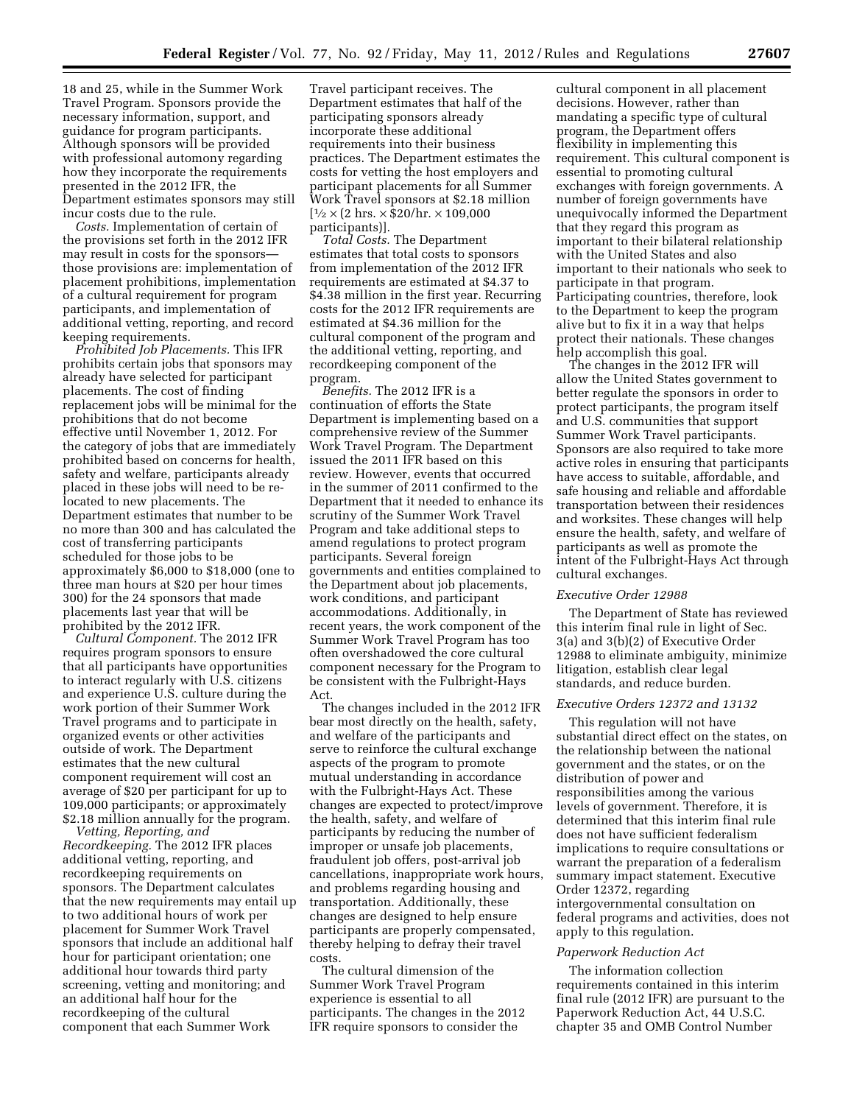18 and 25, while in the Summer Work Travel Program. Sponsors provide the necessary information, support, and guidance for program participants. Although sponsors will be provided with professional automony regarding how they incorporate the requirements presented in the 2012 IFR, the Department estimates sponsors may still incur costs due to the rule.

*Costs.* Implementation of certain of the provisions set forth in the 2012 IFR may result in costs for the sponsors those provisions are: implementation of placement prohibitions, implementation of a cultural requirement for program participants, and implementation of additional vetting, reporting, and record keeping requirements.

*Prohibited Job Placements.* This IFR prohibits certain jobs that sponsors may already have selected for participant placements. The cost of finding replacement jobs will be minimal for the prohibitions that do not become effective until November 1, 2012. For the category of jobs that are immediately prohibited based on concerns for health, safety and welfare, participants already placed in these jobs will need to be relocated to new placements. The Department estimates that number to be no more than 300 and has calculated the cost of transferring participants scheduled for those jobs to be approximately \$6,000 to \$18,000 (one to three man hours at \$20 per hour times 300) for the 24 sponsors that made placements last year that will be prohibited by the 2012 IFR.

*Cultural Component.* The 2012 IFR requires program sponsors to ensure that all participants have opportunities to interact regularly with U.S. citizens and experience U.S. culture during the work portion of their Summer Work Travel programs and to participate in organized events or other activities outside of work. The Department estimates that the new cultural component requirement will cost an average of \$20 per participant for up to 109,000 participants; or approximately \$2.18 million annually for the program.

*Vetting, Reporting, and Recordkeeping.* The 2012 IFR places additional vetting, reporting, and recordkeeping requirements on sponsors. The Department calculates that the new requirements may entail up to two additional hours of work per placement for Summer Work Travel sponsors that include an additional half hour for participant orientation; one additional hour towards third party screening, vetting and monitoring; and an additional half hour for the recordkeeping of the cultural component that each Summer Work

Travel participant receives. The Department estimates that half of the participating sponsors already incorporate these additional requirements into their business practices. The Department estimates the costs for vetting the host employers and participant placements for all Summer Work Travel sponsors at \$2.18 million  $[1/2 \times (2 \text{ hrs.} \times $20/\text{hr.} \times 109,000]$ participants)].

*Total Costs.* The Department estimates that total costs to sponsors from implementation of the 2012 IFR requirements are estimated at \$4.37 to \$4.38 million in the first year. Recurring costs for the 2012 IFR requirements are estimated at \$4.36 million for the cultural component of the program and the additional vetting, reporting, and recordkeeping component of the program.

*Benefits.* The 2012 IFR is a continuation of efforts the State Department is implementing based on a comprehensive review of the Summer Work Travel Program. The Department issued the 2011 IFR based on this review. However, events that occurred in the summer of 2011 confirmed to the Department that it needed to enhance its scrutiny of the Summer Work Travel Program and take additional steps to amend regulations to protect program participants. Several foreign governments and entities complained to the Department about job placements, work conditions, and participant accommodations. Additionally, in recent years, the work component of the Summer Work Travel Program has too often overshadowed the core cultural component necessary for the Program to be consistent with the Fulbright-Hays Act.

The changes included in the 2012 IFR bear most directly on the health, safety, and welfare of the participants and serve to reinforce the cultural exchange aspects of the program to promote mutual understanding in accordance with the Fulbright-Hays Act. These changes are expected to protect/improve the health, safety, and welfare of participants by reducing the number of improper or unsafe job placements, fraudulent job offers, post-arrival job cancellations, inappropriate work hours, and problems regarding housing and transportation. Additionally, these changes are designed to help ensure participants are properly compensated, thereby helping to defray their travel costs.

The cultural dimension of the Summer Work Travel Program experience is essential to all participants. The changes in the 2012 IFR require sponsors to consider the

cultural component in all placement decisions. However, rather than mandating a specific type of cultural program, the Department offers flexibility in implementing this requirement. This cultural component is essential to promoting cultural exchanges with foreign governments. A number of foreign governments have unequivocally informed the Department that they regard this program as important to their bilateral relationship with the United States and also important to their nationals who seek to participate in that program. Participating countries, therefore, look to the Department to keep the program alive but to fix it in a way that helps protect their nationals. These changes help accomplish this goal.

The changes in the 2012 IFR will allow the United States government to better regulate the sponsors in order to protect participants, the program itself and U.S. communities that support Summer Work Travel participants. Sponsors are also required to take more active roles in ensuring that participants have access to suitable, affordable, and safe housing and reliable and affordable transportation between their residences and worksites. These changes will help ensure the health, safety, and welfare of participants as well as promote the intent of the Fulbright-Hays Act through cultural exchanges.

# *Executive Order 12988*

The Department of State has reviewed this interim final rule in light of Sec. 3(a) and 3(b)(2) of Executive Order 12988 to eliminate ambiguity, minimize litigation, establish clear legal standards, and reduce burden.

## *Executive Orders 12372 and 13132*

This regulation will not have substantial direct effect on the states, on the relationship between the national government and the states, or on the distribution of power and responsibilities among the various levels of government. Therefore, it is determined that this interim final rule does not have sufficient federalism implications to require consultations or warrant the preparation of a federalism summary impact statement. Executive Order 12372, regarding intergovernmental consultation on federal programs and activities, does not apply to this regulation.

#### *Paperwork Reduction Act*

The information collection requirements contained in this interim final rule (2012 IFR) are pursuant to the Paperwork Reduction Act, 44 U.S.C. chapter 35 and OMB Control Number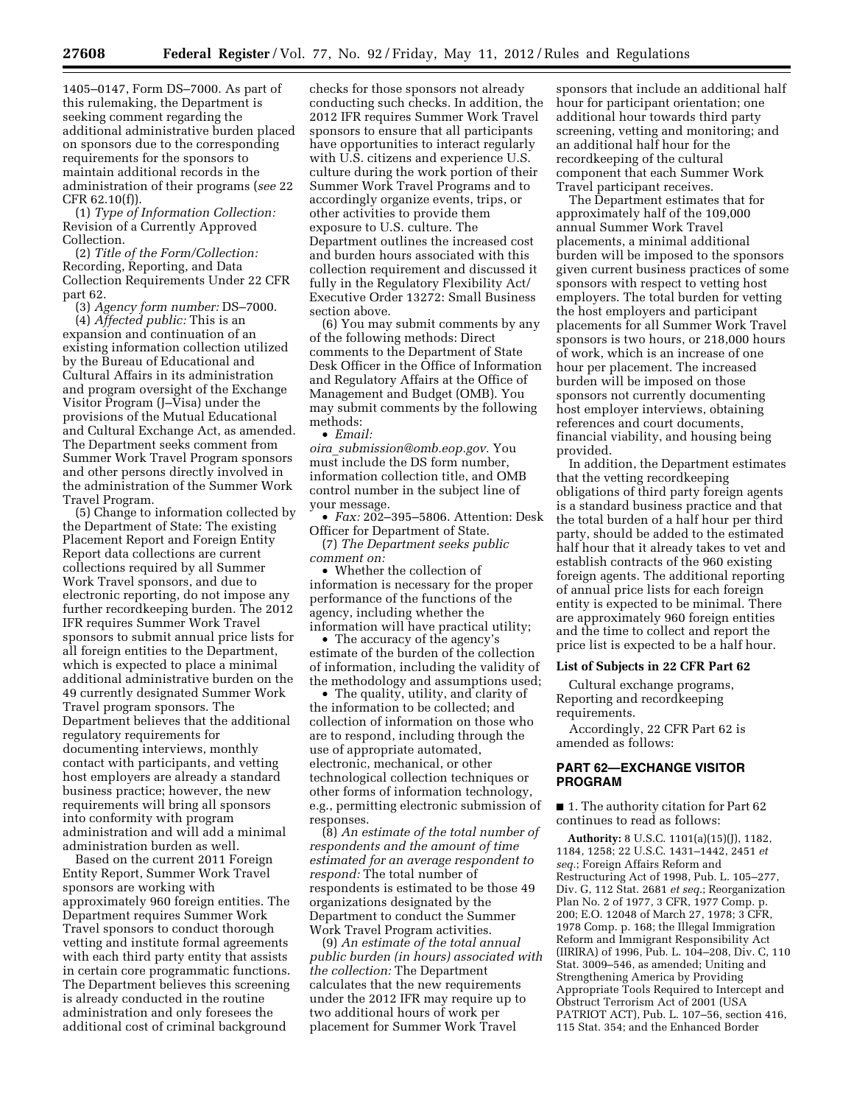1405–0147, Form DS–7000. As part of this rulemaking, the Department is seeking comment regarding the additional administrative burden placed on sponsors due to the corresponding requirements for the sponsors to maintain additional records in the administration of their programs (*see* 22 CFR 62.10(f)).

(1) *Type of Information Collection:*  Revision of a Currently Approved Collection.

(2) *Title of the Form/Collection:*  Recording, Reporting, and Data Collection Requirements Under 22 CFR part 62.

(3) *Agency form number:* DS–7000. (4) *Affected public:* This is an

expansion and continuation of an existing information collection utilized by the Bureau of Educational and Cultural Affairs in its administration and program oversight of the Exchange Visitor Program (J–Visa) under the provisions of the Mutual Educational and Cultural Exchange Act, as amended. The Department seeks comment from Summer Work Travel Program sponsors and other persons directly involved in the administration of the Summer Work Travel Program.

(5) Change to information collected by the Department of State: The existing Placement Report and Foreign Entity Report data collections are current collections required by all Summer Work Travel sponsors, and due to electronic reporting, do not impose any further recordkeeping burden. The 2012 IFR requires Summer Work Travel sponsors to submit annual price lists for all foreign entities to the Department, which is expected to place a minimal additional administrative burden on the 49 currently designated Summer Work Travel program sponsors. The Department believes that the additional regulatory requirements for documenting interviews, monthly contact with participants, and vetting host employers are already a standard business practice; however, the new requirements will bring all sponsors into conformity with program administration and will add a minimal administration burden as well.

Based on the current 2011 Foreign Entity Report, Summer Work Travel sponsors are working with approximately 960 foreign entities. The Department requires Summer Work Travel sponsors to conduct thorough vetting and institute formal agreements with each third party entity that assists in certain core programmatic functions. The Department believes this screening is already conducted in the routine administration and only foresees the additional cost of criminal background

checks for those sponsors not already conducting such checks. In addition, the 2012 IFR requires Summer Work Travel sponsors to ensure that all participants have opportunities to interact regularly with U.S. citizens and experience U.S. culture during the work portion of their Summer Work Travel Programs and to accordingly organize events, trips, or other activities to provide them exposure to U.S. culture. The Department outlines the increased cost and burden hours associated with this collection requirement and discussed it fully in the Regulatory Flexibility Act/ Executive Order 13272: Small Business section above.

(6) You may submit comments by any of the following methods: Direct comments to the Department of State Desk Officer in the Office of Information and Regulatory Affairs at the Office of Management and Budget (OMB). You may submit comments by the following methods:

• *Email:* 

*oira*\_*[submission@omb.eop.gov.](mailto:oira_submission@omb.eop.gov)* You must include the DS form number, information collection title, and OMB control number in the subject line of your message.

• *Fax:* 202–395–5806. Attention: Desk Officer for Department of State.

(7) *The Department seeks public comment on:* 

• Whether the collection of information is necessary for the proper performance of the functions of the agency, including whether the information will have practical utility;

• The accuracy of the agency's estimate of the burden of the collection of information, including the validity of the methodology and assumptions used;

• The quality, utility, and clarity of the information to be collected; and collection of information on those who are to respond, including through the use of appropriate automated, electronic, mechanical, or other technological collection techniques or other forms of information technology, e.g., permitting electronic submission of responses.

(8) *An estimate of the total number of respondents and the amount of time estimated for an average respondent to respond:* The total number of respondents is estimated to be those 49 organizations designated by the Department to conduct the Summer Work Travel Program activities.

(9) *An estimate of the total annual public burden (in hours) associated with the collection:* The Department calculates that the new requirements under the 2012 IFR may require up to two additional hours of work per placement for Summer Work Travel

sponsors that include an additional half hour for participant orientation; one additional hour towards third party screening, vetting and monitoring; and an additional half hour for the recordkeeping of the cultural component that each Summer Work Travel participant receives.

The Department estimates that for approximately half of the 109,000 annual Summer Work Travel placements, a minimal additional burden will be imposed to the sponsors given current business practices of some sponsors with respect to vetting host employers. The total burden for vetting the host employers and participant placements for all Summer Work Travel sponsors is two hours, or 218,000 hours of work, which is an increase of one hour per placement. The increased burden will be imposed on those sponsors not currently documenting host employer interviews, obtaining references and court documents, financial viability, and housing being provided.

In addition, the Department estimates that the vetting recordkeeping obligations of third party foreign agents is a standard business practice and that the total burden of a half hour per third party, should be added to the estimated half hour that it already takes to vet and establish contracts of the 960 existing foreign agents. The additional reporting of annual price lists for each foreign entity is expected to be minimal. There are approximately 960 foreign entities and the time to collect and report the price list is expected to be a half hour.

# **List of Subjects in 22 CFR Part 62**

Cultural exchange programs, Reporting and recordkeeping requirements.

Accordingly, 22 CFR Part 62 is amended as follows:

# **PART 62—EXCHANGE VISITOR PROGRAM**

■ 1. The authority citation for Part 62 continues to read as follows:

**Authority:** 8 U.S.C. 1101(a)(15)(J), 1182, 1184, 1258; 22 U.S.C. 1431–1442, 2451 *et seq.*; Foreign Affairs Reform and Restructuring Act of 1998, Pub. L. 105–277, Div. G, 112 Stat. 2681 *et seq.*; Reorganization Plan No. 2 of 1977, 3 CFR, 1977 Comp. p. 200; E.O. 12048 of March 27, 1978; 3 CFR, 1978 Comp. p. 168; the Illegal Immigration Reform and Immigrant Responsibility Act (IIRIRA) of 1996, Pub. L. 104–208, Div. C, 110 Stat. 3009–546, as amended; Uniting and Strengthening America by Providing Appropriate Tools Required to Intercept and Obstruct Terrorism Act of 2001 (USA PATRIOT ACT), Pub. L. 107–56, section 416, 115 Stat. 354; and the Enhanced Border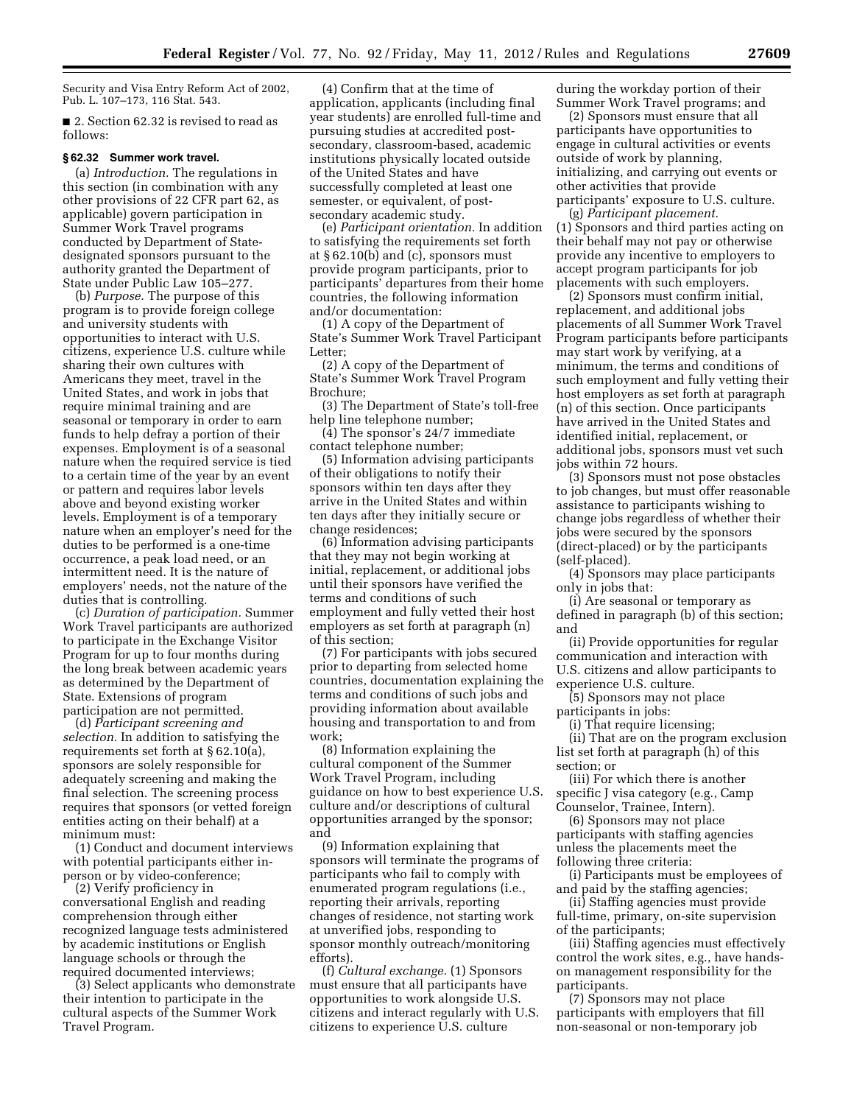Security and Visa Entry Reform Act of 2002, Pub. L. 107–173, 116 Stat. 543.

■ 2. Section 62.32 is revised to read as follows:

#### **§ 62.32 Summer work travel.**

(a) *Introduction.* The regulations in this section (in combination with any other provisions of 22 CFR part 62, as applicable) govern participation in Summer Work Travel programs conducted by Department of Statedesignated sponsors pursuant to the authority granted the Department of State under Public Law 105–277.

(b) *Purpose.* The purpose of this program is to provide foreign college and university students with opportunities to interact with U.S. citizens, experience U.S. culture while sharing their own cultures with Americans they meet, travel in the United States, and work in jobs that require minimal training and are seasonal or temporary in order to earn funds to help defray a portion of their expenses. Employment is of a seasonal nature when the required service is tied to a certain time of the year by an event or pattern and requires labor levels above and beyond existing worker levels. Employment is of a temporary nature when an employer's need for the duties to be performed is a one-time occurrence, a peak load need, or an intermittent need. It is the nature of employers' needs, not the nature of the duties that is controlling.

(c) *Duration of participation.* Summer Work Travel participants are authorized to participate in the Exchange Visitor Program for up to four months during the long break between academic years as determined by the Department of State. Extensions of program participation are not permitted.

(d) *Participant screening and selection.* In addition to satisfying the requirements set forth at § 62.10(a), sponsors are solely responsible for adequately screening and making the final selection. The screening process requires that sponsors (or vetted foreign entities acting on their behalf) at a minimum must:

(1) Conduct and document interviews with potential participants either inperson or by video-conference;

(2) Verify proficiency in conversational English and reading comprehension through either recognized language tests administered by academic institutions or English language schools or through the required documented interviews;

(3) Select applicants who demonstrate their intention to participate in the cultural aspects of the Summer Work Travel Program.

(4) Confirm that at the time of application, applicants (including final year students) are enrolled full-time and pursuing studies at accredited postsecondary, classroom-based, academic institutions physically located outside of the United States and have successfully completed at least one semester, or equivalent, of postsecondary academic study.

(e) *Participant orientation.* In addition to satisfying the requirements set forth at § 62.10(b) and (c), sponsors must provide program participants, prior to participants' departures from their home countries, the following information and/or documentation:

(1) A copy of the Department of State's Summer Work Travel Participant Letter;

(2) A copy of the Department of State's Summer Work Travel Program Brochure;

(3) The Department of State's toll-free help line telephone number;

(4) The sponsor's 24/7 immediate contact telephone number;

(5) Information advising participants of their obligations to notify their sponsors within ten days after they arrive in the United States and within ten days after they initially secure or change residences;

(6) Information advising participants that they may not begin working at initial, replacement, or additional jobs until their sponsors have verified the terms and conditions of such employment and fully vetted their host employers as set forth at paragraph (n) of this section;

(7) For participants with jobs secured prior to departing from selected home countries, documentation explaining the terms and conditions of such jobs and providing information about available housing and transportation to and from work;

(8) Information explaining the cultural component of the Summer Work Travel Program, including guidance on how to best experience U.S. culture and/or descriptions of cultural opportunities arranged by the sponsor; and

(9) Information explaining that sponsors will terminate the programs of participants who fail to comply with enumerated program regulations (i.e., reporting their arrivals, reporting changes of residence, not starting work at unverified jobs, responding to sponsor monthly outreach/monitoring efforts).

(f) *Cultural exchange.* (1) Sponsors must ensure that all participants have opportunities to work alongside U.S. citizens and interact regularly with U.S. citizens to experience U.S. culture

during the workday portion of their Summer Work Travel programs; and

(2) Sponsors must ensure that all participants have opportunities to engage in cultural activities or events outside of work by planning, initializing, and carrying out events or other activities that provide participants' exposure to U.S. culture.

(g) *Participant placement.*  (1) Sponsors and third parties acting on their behalf may not pay or otherwise provide any incentive to employers to accept program participants for job placements with such employers.

(2) Sponsors must confirm initial, replacement, and additional jobs placements of all Summer Work Travel Program participants before participants may start work by verifying, at a minimum, the terms and conditions of such employment and fully vetting their host employers as set forth at paragraph (n) of this section. Once participants have arrived in the United States and identified initial, replacement, or additional jobs, sponsors must vet such jobs within 72 hours.

(3) Sponsors must not pose obstacles to job changes, but must offer reasonable assistance to participants wishing to change jobs regardless of whether their jobs were secured by the sponsors (direct-placed) or by the participants (self-placed).

(4) Sponsors may place participants only in jobs that:

(i) Are seasonal or temporary as defined in paragraph (b) of this section; and

(ii) Provide opportunities for regular communication and interaction with U.S. citizens and allow participants to experience U.S. culture.

(5) Sponsors may not place participants in jobs:

(i) That require licensing;

(ii) That are on the program exclusion list set forth at paragraph (h) of this section; or

(iii) For which there is another specific J visa category (e.g., Camp Counselor, Trainee, Intern).

(6) Sponsors may not place participants with staffing agencies unless the placements meet the following three criteria:

(i) Participants must be employees of and paid by the staffing agencies;

(ii) Staffing agencies must provide full-time, primary, on-site supervision of the participants;

(iii) Staffing agencies must effectively control the work sites, e.g., have handson management responsibility for the participants.

(7) Sponsors may not place participants with employers that fill non-seasonal or non-temporary job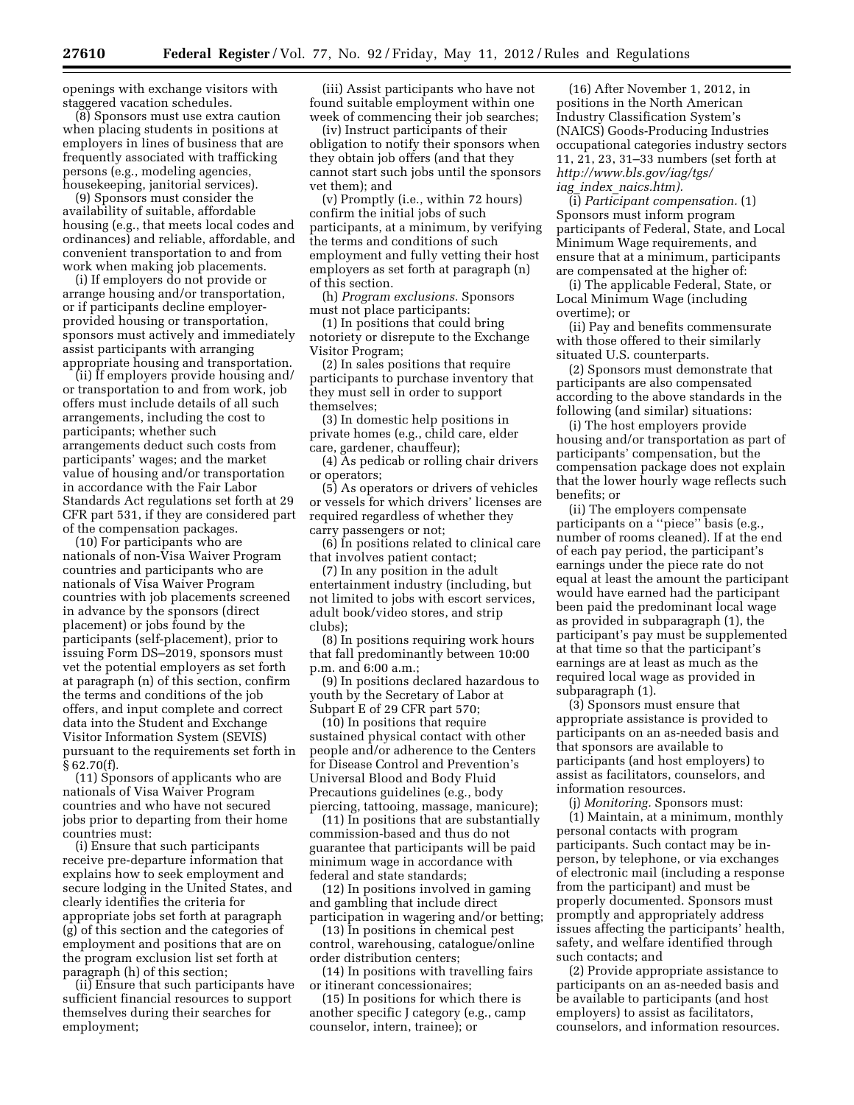openings with exchange visitors with staggered vacation schedules.

(8) Sponsors must use extra caution when placing students in positions at employers in lines of business that are frequently associated with trafficking persons (e.g., modeling agencies, housekeeping, janitorial services).

(9) Sponsors must consider the availability of suitable, affordable housing (e.g., that meets local codes and ordinances) and reliable, affordable, and convenient transportation to and from work when making job placements.

(i) If employers do not provide or arrange housing and/or transportation, or if participants decline employerprovided housing or transportation, sponsors must actively and immediately assist participants with arranging appropriate housing and transportation.

(ii) If employers provide housing and/ or transportation to and from work, job offers must include details of all such arrangements, including the cost to participants; whether such arrangements deduct such costs from participants' wages; and the market value of housing and/or transportation in accordance with the Fair Labor Standards Act regulations set forth at 29 CFR part 531, if they are considered part of the compensation packages.

(10) For participants who are nationals of non-Visa Waiver Program countries and participants who are nationals of Visa Waiver Program countries with job placements screened in advance by the sponsors (direct placement) or jobs found by the participants (self-placement), prior to issuing Form DS–2019, sponsors must vet the potential employers as set forth at paragraph (n) of this section, confirm the terms and conditions of the job offers, and input complete and correct data into the Student and Exchange Visitor Information System (SEVIS) pursuant to the requirements set forth in § 62.70(f).

(11) Sponsors of applicants who are nationals of Visa Waiver Program countries and who have not secured jobs prior to departing from their home countries must:

(i) Ensure that such participants receive pre-departure information that explains how to seek employment and secure lodging in the United States, and clearly identifies the criteria for appropriate jobs set forth at paragraph (g) of this section and the categories of employment and positions that are on the program exclusion list set forth at paragraph (h) of this section;

(ii) Ensure that such participants have sufficient financial resources to support themselves during their searches for employment;

(iii) Assist participants who have not found suitable employment within one week of commencing their job searches;

(iv) Instruct participants of their obligation to notify their sponsors when they obtain job offers (and that they cannot start such jobs until the sponsors vet them); and

(v) Promptly (i.e., within 72 hours) confirm the initial jobs of such participants, at a minimum, by verifying the terms and conditions of such employment and fully vetting their host employers as set forth at paragraph (n) of this section.

(h) *Program exclusions.* Sponsors must not place participants:

(1) In positions that could bring notoriety or disrepute to the Exchange Visitor Program;

(2) In sales positions that require participants to purchase inventory that they must sell in order to support themselves;

(3) In domestic help positions in private homes (e.g., child care, elder care, gardener, chauffeur);

(4) As pedicab or rolling chair drivers or operators;

(5) As operators or drivers of vehicles or vessels for which drivers' licenses are required regardless of whether they carry passengers or not;

(6) In positions related to clinical care that involves patient contact;

(7) In any position in the adult entertainment industry (including, but not limited to jobs with escort services, adult book/video stores, and strip clubs);

(8) In positions requiring work hours that fall predominantly between 10:00 p.m. and 6:00 a.m.;

(9) In positions declared hazardous to youth by the Secretary of Labor at Subpart E of 29 CFR part 570;

(10) In positions that require sustained physical contact with other people and/or adherence to the Centers for Disease Control and Prevention's Universal Blood and Body Fluid Precautions guidelines (e.g., body piercing, tattooing, massage, manicure);

(11) In positions that are substantially commission-based and thus do not guarantee that participants will be paid minimum wage in accordance with federal and state standards;

(12) In positions involved in gaming and gambling that include direct participation in wagering and/or betting;

(13) In positions in chemical pest control, warehousing, catalogue/online order distribution centers;

(14) In positions with travelling fairs or itinerant concessionaires;

(15) In positions for which there is another specific J category (e.g., camp counselor, intern, trainee); or

(16) After November 1, 2012, in positions in the North American Industry Classification System's (NAICS) Goods-Producing Industries occupational categories industry sectors 11, 21, 23, 31–33 numbers (set forth at *[http://www.bls.gov/iag/tgs/](http://www.bls.gov/iag/tgs/iag_index_naics.htm) iag*\_*index*\_*[naics.htm\).](http://www.bls.gov/iag/tgs/iag_index_naics.htm)* 

(i) *Participant compensation.* (1) Sponsors must inform program participants of Federal, State, and Local Minimum Wage requirements, and ensure that at a minimum, participants are compensated at the higher of:

(i) The applicable Federal, State, or Local Minimum Wage (including overtime); or

(ii) Pay and benefits commensurate with those offered to their similarly situated U.S. counterparts.

(2) Sponsors must demonstrate that participants are also compensated according to the above standards in the following (and similar) situations:

(i) The host employers provide housing and/or transportation as part of participants' compensation, but the compensation package does not explain that the lower hourly wage reflects such benefits; or

(ii) The employers compensate participants on a ''piece'' basis (e.g., number of rooms cleaned). If at the end of each pay period, the participant's earnings under the piece rate do not equal at least the amount the participant would have earned had the participant been paid the predominant local wage as provided in subparagraph (1), the participant's pay must be supplemented at that time so that the participant's earnings are at least as much as the required local wage as provided in subparagraph (1).

(3) Sponsors must ensure that appropriate assistance is provided to participants on an as-needed basis and that sponsors are available to participants (and host employers) to assist as facilitators, counselors, and information resources.

(j) *Monitoring.* Sponsors must:

(1) Maintain, at a minimum, monthly personal contacts with program participants. Such contact may be inperson, by telephone, or via exchanges of electronic mail (including a response from the participant) and must be properly documented. Sponsors must promptly and appropriately address issues affecting the participants' health, safety, and welfare identified through such contacts; and

(2) Provide appropriate assistance to participants on an as-needed basis and be available to participants (and host employers) to assist as facilitators, counselors, and information resources.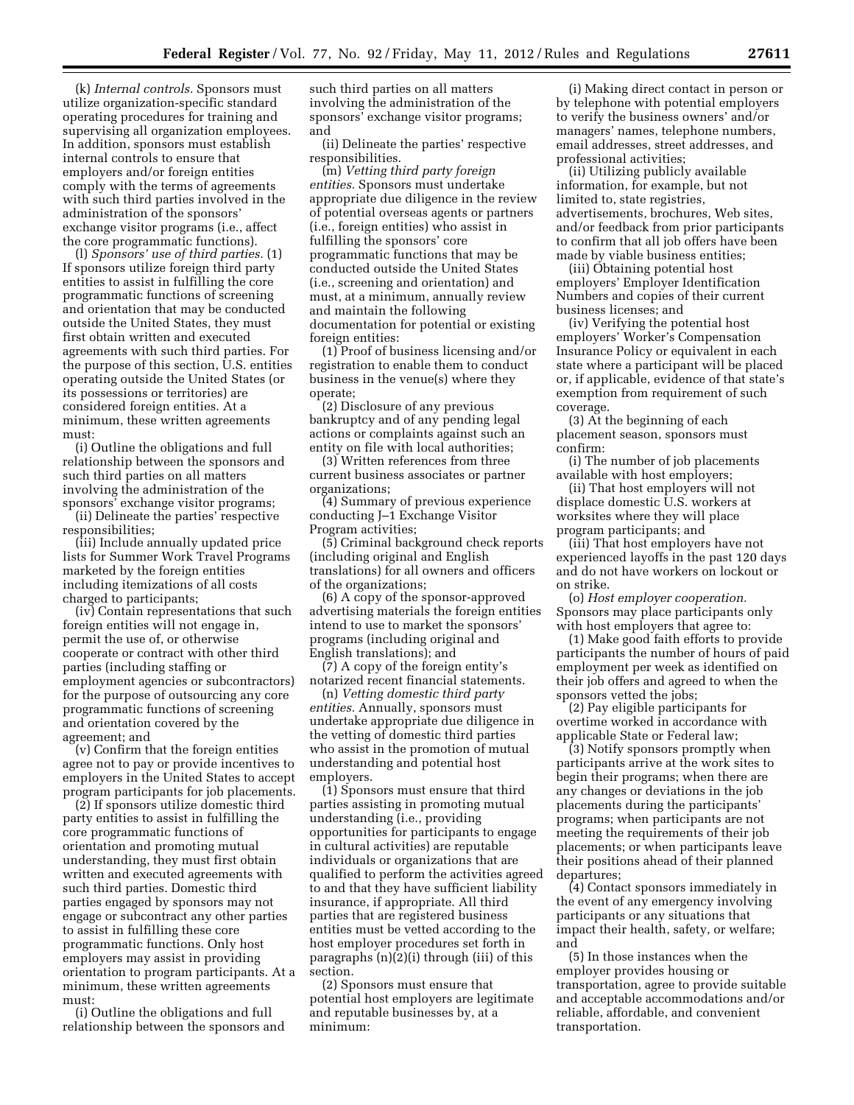(k) *Internal controls.* Sponsors must utilize organization-specific standard operating procedures for training and supervising all organization employees. In addition, sponsors must establish internal controls to ensure that employers and/or foreign entities comply with the terms of agreements with such third parties involved in the administration of the sponsors' exchange visitor programs (i.e., affect the core programmatic functions).

(l) *Sponsors' use of third parties.* (1) If sponsors utilize foreign third party entities to assist in fulfilling the core programmatic functions of screening and orientation that may be conducted outside the United States, they must first obtain written and executed agreements with such third parties. For the purpose of this section, U.S. entities operating outside the United States (or its possessions or territories) are considered foreign entities. At a minimum, these written agreements must:

(i) Outline the obligations and full relationship between the sponsors and such third parties on all matters involving the administration of the sponsors' exchange visitor programs;

(ii) Delineate the parties' respective responsibilities;

(iii) Include annually updated price lists for Summer Work Travel Programs marketed by the foreign entities including itemizations of all costs charged to participants;

(iv) Contain representations that such foreign entities will not engage in, permit the use of, or otherwise cooperate or contract with other third parties (including staffing or employment agencies or subcontractors) for the purpose of outsourcing any core programmatic functions of screening and orientation covered by the agreement; and

(v) Confirm that the foreign entities agree not to pay or provide incentives to employers in the United States to accept program participants for job placements.

(2) If sponsors utilize domestic third party entities to assist in fulfilling the core programmatic functions of orientation and promoting mutual understanding, they must first obtain written and executed agreements with such third parties. Domestic third parties engaged by sponsors may not engage or subcontract any other parties to assist in fulfilling these core programmatic functions. Only host employers may assist in providing orientation to program participants. At a minimum, these written agreements must:

(i) Outline the obligations and full relationship between the sponsors and

such third parties on all matters involving the administration of the sponsors' exchange visitor programs; and

(ii) Delineate the parties' respective responsibilities.

(m) *Vetting third party foreign entities.* Sponsors must undertake appropriate due diligence in the review of potential overseas agents or partners (i.e., foreign entities) who assist in fulfilling the sponsors' core programmatic functions that may be conducted outside the United States (i.e., screening and orientation) and must, at a minimum, annually review and maintain the following documentation for potential or existing foreign entities:

(1) Proof of business licensing and/or registration to enable them to conduct business in the venue(s) where they operate;

(2) Disclosure of any previous bankruptcy and of any pending legal actions or complaints against such an entity on file with local authorities;

(3) Written references from three current business associates or partner organizations;

(4) Summary of previous experience conducting J–1 Exchange Visitor Program activities;

(5) Criminal background check reports (including original and English translations) for all owners and officers of the organizations;

(6) A copy of the sponsor-approved advertising materials the foreign entities intend to use to market the sponsors' programs (including original and English translations); and

(7) A copy of the foreign entity's notarized recent financial statements.

(n) *Vetting domestic third party entities.* Annually, sponsors must undertake appropriate due diligence in the vetting of domestic third parties who assist in the promotion of mutual understanding and potential host employers.

(1) Sponsors must ensure that third parties assisting in promoting mutual understanding (i.e., providing opportunities for participants to engage in cultural activities) are reputable individuals or organizations that are qualified to perform the activities agreed to and that they have sufficient liability insurance, if appropriate. All third parties that are registered business entities must be vetted according to the host employer procedures set forth in paragraphs (n)(2)(i) through (iii) of this section.

(2) Sponsors must ensure that potential host employers are legitimate and reputable businesses by, at a minimum:

(i) Making direct contact in person or by telephone with potential employers to verify the business owners' and/or managers' names, telephone numbers, email addresses, street addresses, and professional activities;

(ii) Utilizing publicly available information, for example, but not limited to, state registries, advertisements, brochures, Web sites, and/or feedback from prior participants to confirm that all job offers have been made by viable business entities;

(iii) Obtaining potential host employers' Employer Identification Numbers and copies of their current business licenses; and

(iv) Verifying the potential host employers' Worker's Compensation Insurance Policy or equivalent in each state where a participant will be placed or, if applicable, evidence of that state's exemption from requirement of such coverage.

(3) At the beginning of each placement season, sponsors must confirm:

(i) The number of job placements available with host employers;

(ii) That host employers will not displace domestic U.S. workers at worksites where they will place program participants; and

(iii) That host employers have not experienced layoffs in the past 120 days and do not have workers on lockout or on strike.

(o) *Host employer cooperation.*  Sponsors may place participants only with host employers that agree to:

(1) Make good faith efforts to provide participants the number of hours of paid employment per week as identified on their job offers and agreed to when the sponsors vetted the jobs;

(2) Pay eligible participants for overtime worked in accordance with applicable State or Federal law;

(3) Notify sponsors promptly when participants arrive at the work sites to begin their programs; when there are any changes or deviations in the job placements during the participants' programs; when participants are not meeting the requirements of their job placements; or when participants leave their positions ahead of their planned departures;

(4) Contact sponsors immediately in the event of any emergency involving participants or any situations that impact their health, safety, or welfare; and

(5) In those instances when the employer provides housing or transportation, agree to provide suitable and acceptable accommodations and/or reliable, affordable, and convenient transportation.